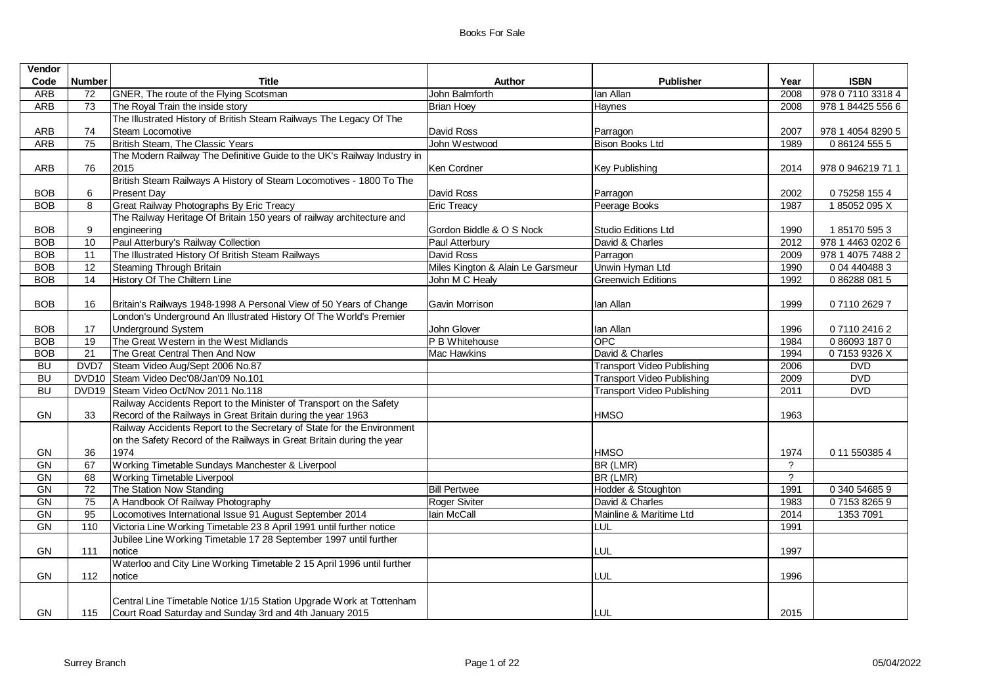| Vendor     |                 |                                                                         |                                   |                                   |                |                   |
|------------|-----------------|-------------------------------------------------------------------------|-----------------------------------|-----------------------------------|----------------|-------------------|
| Code       | <b>Number</b>   | <b>Title</b>                                                            | <b>Author</b>                     | <b>Publisher</b>                  | Year           | <b>ISBN</b>       |
| <b>ARB</b> | 72              | GNER, The route of the Flying Scotsman                                  | John Balmforth                    | lan Allan                         | 2008           | 978 0 7110 3318 4 |
| ARB        | 73              | The Royal Train the inside story                                        | <b>Brian Hoey</b>                 | Haynes                            | 2008           | 978 1 84425 556 6 |
|            |                 | The Illustrated History of British Steam Railways The Legacy Of The     |                                   |                                   |                |                   |
| ARB        | 74              | Steam Locomotive                                                        | David Ross                        | Parragon                          | 2007           | 978 1 4054 8290 5 |
| <b>ARB</b> | 75              | British Steam, The Classic Years                                        | John Westwood                     | <b>Bison Books Ltd</b>            | 1989           | 0 86124 555 5     |
|            |                 | The Modern Railway The Definitive Guide to the UK's Railway Industry in |                                   |                                   |                |                   |
| ARB        | 76              | 2015                                                                    | Ken Cordner                       | <b>Key Publishing</b>             | 2014           | 978 0 946219 71 1 |
|            |                 | British Steam Railways A History of Steam Locomotives - 1800 To The     |                                   |                                   |                |                   |
| <b>BOB</b> | 6               | <b>Present Day</b>                                                      | David Ross                        | Parragon                          | 2002           | 075258 1554       |
| <b>BOB</b> | 8               | Great Railway Photographs By Eric Treacy                                | <b>Eric Treacy</b>                | Peerage Books                     | 1987           | 185052095X        |
|            |                 | The Railway Heritage Of Britain 150 years of railway architecture and   |                                   |                                   |                |                   |
| <b>BOB</b> | 9               | engineering                                                             | Gordon Biddle & O S Nock          | Studio Editions Ltd               | 1990           | 1851705953        |
| <b>BOB</b> | 10              | Paul Atterbury's Railway Collection                                     | Paul Atterbury                    | David & Charles                   | 2012           | 978 1 4463 0202 6 |
| <b>BOB</b> | 11              | The Illustrated History Of British Steam Railways                       | David Ross                        | Parragon                          | 2009           | 978 1 4075 7488 2 |
| <b>BOB</b> | 12              | Steaming Through Britain                                                | Miles Kington & Alain Le Garsmeur | Unwin Hyman Ltd                   | 1990           | 0 04 440488 3     |
| <b>BOB</b> | $\overline{14}$ | History Of The Chiltern Line                                            | John M C Healy                    | <b>Greenwich Editions</b>         | 1992           | 0862880815        |
|            |                 |                                                                         |                                   |                                   |                |                   |
| <b>BOB</b> | 16              | Britain's Railways 1948-1998 A Personal View of 50 Years of Change      | Gavin Morrison                    | lan Allan                         | 1999           | 0711026297        |
|            |                 | London's Underground An Illustrated History Of The World's Premier      |                                   |                                   |                |                   |
| <b>BOB</b> | 17              | <b>Underground System</b>                                               | John Glover                       | lan Allan                         | 1996           | 0711024162        |
| <b>BOB</b> | 19              | The Great Western in the West Midlands                                  | P B Whitehouse                    | <b>OPC</b>                        | 1984           | 0860931870        |
| <b>BOB</b> | $\overline{21}$ | The Great Central Then And Now                                          | <b>Mac Hawkins</b>                | David & Charles                   | 1994           | 071539326X        |
| <b>BU</b>  | DVD7            | Steam Video Aug/Sept 2006 No.87                                         |                                   | <b>Transport Video Publishing</b> | 2006           | <b>DVD</b>        |
| <b>BU</b>  |                 | DVD10 Steam Video Dec'08/Jan'09 No.101                                  |                                   | <b>Transport Video Publishing</b> | 2009           | <b>DVD</b>        |
| <b>BU</b>  |                 | DVD19 Steam Video Oct/Nov 2011 No.118                                   |                                   | <b>Transport Video Publishing</b> | 2011           | <b>DVD</b>        |
|            |                 | Railway Accidents Report to the Minister of Transport on the Safety     |                                   |                                   |                |                   |
| GN         | 33              | Record of the Railways in Great Britain during the year 1963            |                                   | <b>HMSO</b>                       | 1963           |                   |
|            |                 | Railway Accidents Report to the Secretary of State for the Environment  |                                   |                                   |                |                   |
|            |                 | on the Safety Record of the Railways in Great Britain during the year   |                                   |                                   |                |                   |
| GN         | 36              | 1974                                                                    |                                   | <b>HMSO</b>                       | 1974           | 0 11 550385 4     |
| GN         | 67              | Working Timetable Sundays Manchester & Liverpool                        |                                   | BR (LMR)                          | $\overline{?}$ |                   |
| GN         | 68              | Working Timetable Liverpool                                             |                                   | BR (LMR)                          | $\overline{?}$ |                   |
| <b>GN</b>  | $\overline{72}$ | The Station Now Standing                                                | <b>Bill Pertwee</b>               | Hodder & Stoughton                | 1991           | 0 340 54685 9     |
| GN         | 75              | A Handbook Of Railway Photography                                       | Roger Siviter                     | David & Charles                   | 1983           | 0715382659        |
| GN         | $\overline{95}$ | Locomotives International Issue 91 August September 2014                | lain McCall                       | Mainline & Maritime Ltd           | 2014           | 1353 7091         |
| <b>GN</b>  | 110             | Victoria Line Working Timetable 23 8 April 1991 until further notice    |                                   | LUL                               | 1991           |                   |
|            |                 | Jubilee Line Working Timetable 17 28 September 1997 until further       |                                   |                                   |                |                   |
| GN         | 111             | notice                                                                  |                                   | <b>LUL</b>                        | 1997           |                   |
|            |                 | Waterloo and City Line Working Timetable 2 15 April 1996 until further  |                                   |                                   |                |                   |
| GN         | 112             | notice                                                                  |                                   | LUL                               | 1996           |                   |
|            |                 |                                                                         |                                   |                                   |                |                   |
|            |                 | Central Line Timetable Notice 1/15 Station Upgrade Work at Tottenham    |                                   |                                   |                |                   |
| GN         | 115             | Court Road Saturday and Sunday 3rd and 4th January 2015                 |                                   | <b>LUL</b>                        | 2015           |                   |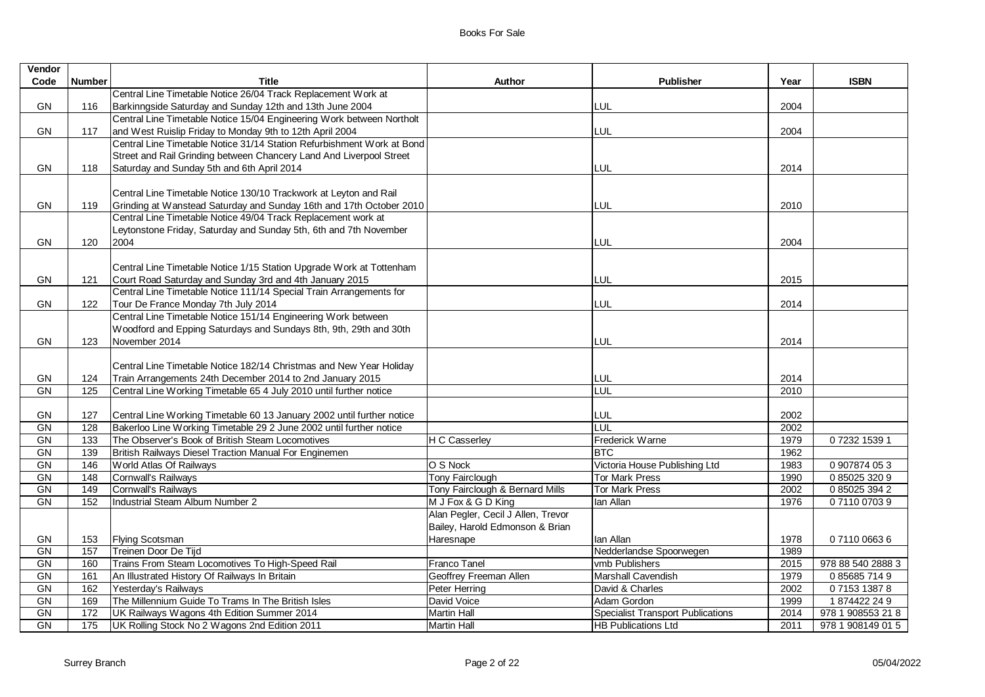| Vendor    |                 |                                                                        |                                    |                                          |      |                   |
|-----------|-----------------|------------------------------------------------------------------------|------------------------------------|------------------------------------------|------|-------------------|
| Code      | <b>Number</b>   | <b>Title</b>                                                           | Author                             | <b>Publisher</b>                         | Year | <b>ISBN</b>       |
|           |                 | Central Line Timetable Notice 26/04 Track Replacement Work at          |                                    |                                          |      |                   |
| GN        | 116             | Barkinngside Saturday and Sunday 12th and 13th June 2004               |                                    | LUL                                      | 2004 |                   |
|           |                 | Central Line Timetable Notice 15/04 Engineering Work between Northolt  |                                    |                                          |      |                   |
| GN        | 117             | and West Ruislip Friday to Monday 9th to 12th April 2004               |                                    | <b>LUL</b>                               | 2004 |                   |
|           |                 | Central Line Timetable Notice 31/14 Station Refurbishment Work at Bond |                                    |                                          |      |                   |
|           |                 | Street and Rail Grinding between Chancery Land And Liverpool Street    |                                    |                                          |      |                   |
| GN        | 118             | Saturday and Sunday 5th and 6th April 2014                             |                                    | LUL                                      | 2014 |                   |
|           |                 |                                                                        |                                    |                                          |      |                   |
|           |                 | Central Line Timetable Notice 130/10 Trackwork at Leyton and Rail      |                                    |                                          |      |                   |
| <b>GN</b> | 119             | Grinding at Wanstead Saturday and Sunday 16th and 17th October 2010    |                                    | <b>LUL</b>                               | 2010 |                   |
|           |                 | Central Line Timetable Notice 49/04 Track Replacement work at          |                                    |                                          |      |                   |
|           |                 | Leytonstone Friday, Saturday and Sunday 5th, 6th and 7th November      |                                    |                                          |      |                   |
| GN        | 120             | 2004                                                                   |                                    | LUL                                      | 2004 |                   |
|           |                 |                                                                        |                                    |                                          |      |                   |
|           |                 | Central Line Timetable Notice 1/15 Station Upgrade Work at Tottenham   |                                    |                                          |      |                   |
| <b>GN</b> | 121             | Court Road Saturday and Sunday 3rd and 4th January 2015                |                                    | LUL                                      | 2015 |                   |
|           |                 | Central Line Timetable Notice 111/14 Special Train Arrangements for    |                                    |                                          |      |                   |
| <b>GN</b> | 122             | Tour De France Monday 7th July 2014                                    |                                    | LUL                                      | 2014 |                   |
|           |                 | Central Line Timetable Notice 151/14 Engineering Work between          |                                    |                                          |      |                   |
|           |                 | Woodford and Epping Saturdays and Sundays 8th, 9th, 29th and 30th      |                                    |                                          |      |                   |
| GN        | 123             | November 2014                                                          |                                    | LUL                                      | 2014 |                   |
|           |                 |                                                                        |                                    |                                          |      |                   |
|           |                 | Central Line Timetable Notice 182/14 Christmas and New Year Holiday    |                                    |                                          |      |                   |
| <b>GN</b> | 124             | Train Arrangements 24th December 2014 to 2nd January 2015              |                                    | LUL                                      | 2014 |                   |
| GN        | $\frac{1}{25}$  | Central Line Working Timetable 65 4 July 2010 until further notice     |                                    | LUL                                      | 2010 |                   |
|           |                 |                                                                        |                                    |                                          |      |                   |
| GN        | 127             | Central Line Working Timetable 60 13 January 2002 until further notice |                                    | LUL                                      | 2002 |                   |
| <b>GN</b> | 128             | Bakerloo Line Working Timetable 29 2 June 2002 until further notice    |                                    | LUL                                      | 2002 |                   |
| GN        | 133             | The Observer's Book of British Steam Locomotives                       | <b>H C Casserley</b>               | Frederick Warne                          | 1979 | 07232 1539 1      |
| GN        | 139             | British Railways Diesel Traction Manual For Enginemen                  |                                    | <b>BTC</b>                               | 1962 |                   |
| GN        | $\frac{146}{ }$ | World Atlas Of Railways                                                | O S Nock                           | Victoria House Publishing Ltd            | 1983 | 0 907874 053      |
| GN        | 148             | Cornwall's Railways                                                    | <b>Tony Fairclough</b>             | <b>Tor Mark Press</b>                    | 1990 | 0 85025 320 9     |
| GN        | 149             | Cornwall's Railways                                                    | Tony Fairclough & Bernard Mills    | <b>Tor Mark Press</b>                    | 2002 | 0 85025 394 2     |
| GN        | 152             | Industrial Steam Album Number 2                                        | M J Fox & G D King                 | lan Allan                                | 1976 | 0711007039        |
|           |                 |                                                                        | Alan Pegler, Cecil J Allen, Trevor |                                          |      |                   |
|           |                 |                                                                        | Bailey, Harold Edmonson & Brian    |                                          |      |                   |
| GN        | 153             | <b>Flying Scotsman</b>                                                 | Haresnape                          | lan Allan                                | 1978 | 0711006636        |
| GN        | 157             | Treinen Door De Tijd                                                   |                                    | Nedderlandse Spoorwegen                  | 1989 |                   |
| GN        | 160             | Trains From Steam Locomotives To High-Speed Rail                       | Franco Tanel                       | vmb Publishers                           | 2015 | 978 88 540 2888 3 |
| GN        | 161             | An Illustrated History Of Railways In Britain                          | Geoffrey Freeman Allen             | Marshall Cavendish                       | 1979 | 0856857149        |
| GN        | 162             | Yesterday's Railways                                                   | Peter Herring                      | David & Charles                          | 2002 | 0715313878        |
| GN        | 169             | The Millennium Guide To Trams In The British Isles                     | David Voice                        | Adam Gordon                              | 1999 | 1874422249        |
| GN        | 172             | UK Railways Wagons 4th Edition Summer 2014                             | <b>Martin Hall</b>                 | <b>Specialist Transport Publications</b> | 2014 | 978 1 908553 21 8 |
| <b>GN</b> | 175             | UK Rolling Stock No 2 Wagons 2nd Edition 2011                          | <b>Martin Hall</b>                 | <b>HB Publications Ltd</b>               | 2011 | 978 1 908149 01 5 |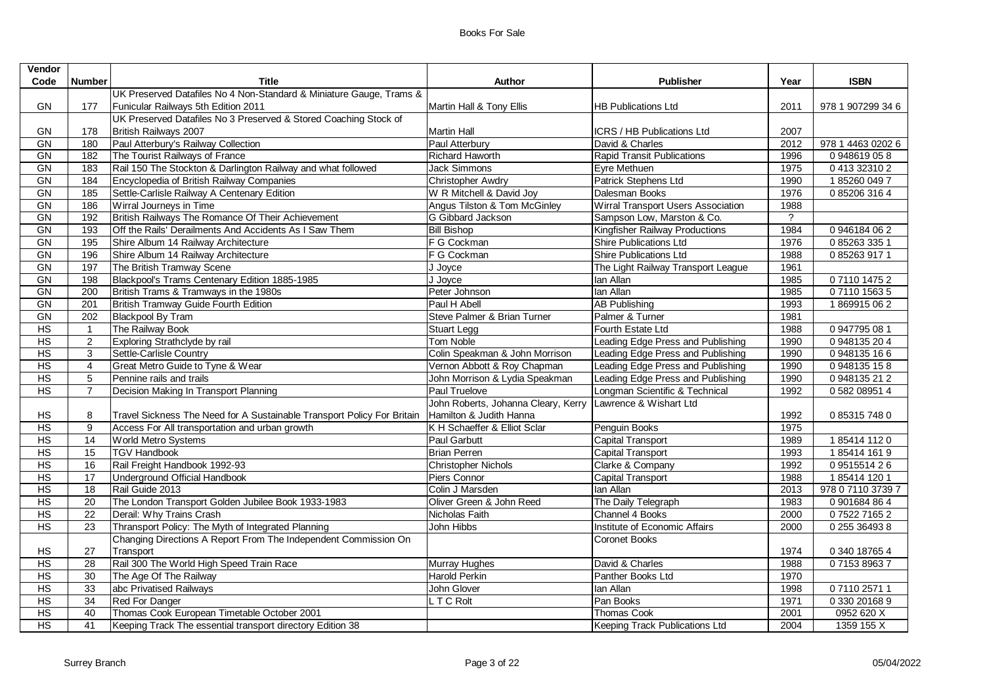| <b>Publisher</b><br>Year<br><b>HB Publications Ltd</b><br>2011<br>2007<br>ICRS / HB Publications Ltd | <b>ISBN</b><br>978 1 907299 34 6                                                                                                                                                                                                                                                                                                                                                                                  |
|------------------------------------------------------------------------------------------------------|-------------------------------------------------------------------------------------------------------------------------------------------------------------------------------------------------------------------------------------------------------------------------------------------------------------------------------------------------------------------------------------------------------------------|
|                                                                                                      |                                                                                                                                                                                                                                                                                                                                                                                                                   |
|                                                                                                      |                                                                                                                                                                                                                                                                                                                                                                                                                   |
|                                                                                                      |                                                                                                                                                                                                                                                                                                                                                                                                                   |
|                                                                                                      |                                                                                                                                                                                                                                                                                                                                                                                                                   |
|                                                                                                      |                                                                                                                                                                                                                                                                                                                                                                                                                   |
| David & Charles                                                                                      | 978 1 4463 0202 6                                                                                                                                                                                                                                                                                                                                                                                                 |
|                                                                                                      | 0948619058                                                                                                                                                                                                                                                                                                                                                                                                        |
| Eyre Methuen                                                                                         | 0413323102                                                                                                                                                                                                                                                                                                                                                                                                        |
|                                                                                                      | 1852600497                                                                                                                                                                                                                                                                                                                                                                                                        |
|                                                                                                      | 0 85206 316 4                                                                                                                                                                                                                                                                                                                                                                                                     |
|                                                                                                      |                                                                                                                                                                                                                                                                                                                                                                                                                   |
| $\overline{?}$                                                                                       |                                                                                                                                                                                                                                                                                                                                                                                                                   |
|                                                                                                      | 0946184062                                                                                                                                                                                                                                                                                                                                                                                                        |
|                                                                                                      | 0852633351                                                                                                                                                                                                                                                                                                                                                                                                        |
|                                                                                                      | 0852639171                                                                                                                                                                                                                                                                                                                                                                                                        |
|                                                                                                      |                                                                                                                                                                                                                                                                                                                                                                                                                   |
|                                                                                                      | 0711014752                                                                                                                                                                                                                                                                                                                                                                                                        |
|                                                                                                      | 0711015635                                                                                                                                                                                                                                                                                                                                                                                                        |
| <b>AB Publishing</b>                                                                                 | 1869915062                                                                                                                                                                                                                                                                                                                                                                                                        |
| Palmer & Turner<br>1981                                                                              |                                                                                                                                                                                                                                                                                                                                                                                                                   |
| Fourth Estate Ltd<br>1988                                                                            | 0 947795 08 1                                                                                                                                                                                                                                                                                                                                                                                                     |
| 1990<br>Leading Edge Press and Publishing                                                            | 0 948135 204                                                                                                                                                                                                                                                                                                                                                                                                      |
| Leading Edge Press and Publishing<br>1990                                                            | 0948135166                                                                                                                                                                                                                                                                                                                                                                                                        |
| 1990<br>Leading Edge Press and Publishing                                                            | 0948135158                                                                                                                                                                                                                                                                                                                                                                                                        |
| 1990<br>Leading Edge Press and Publishing                                                            | 0 948135 21 2                                                                                                                                                                                                                                                                                                                                                                                                     |
| Longman Scientific & Technical<br>1992                                                               | 0 582 08951 4                                                                                                                                                                                                                                                                                                                                                                                                     |
| John Roberts, Johanna Cleary, Kerry Lawrence & Wishart Ltd                                           |                                                                                                                                                                                                                                                                                                                                                                                                                   |
| 1992                                                                                                 | 0 85315 748 0                                                                                                                                                                                                                                                                                                                                                                                                     |
| Penguin Books<br>1975                                                                                |                                                                                                                                                                                                                                                                                                                                                                                                                   |
| <b>Capital Transport</b><br>1989                                                                     | 1854141120                                                                                                                                                                                                                                                                                                                                                                                                        |
| Capital Transport<br>1993                                                                            | 185414 1619                                                                                                                                                                                                                                                                                                                                                                                                       |
| Clarke & Company                                                                                     | 0951551426                                                                                                                                                                                                                                                                                                                                                                                                        |
| <b>Capital Transport</b>                                                                             | 1854141201                                                                                                                                                                                                                                                                                                                                                                                                        |
| 2013                                                                                                 | 978 0 7110 3739 7                                                                                                                                                                                                                                                                                                                                                                                                 |
| The Daily Telegraph<br>1983                                                                          | 0 901684 86 4                                                                                                                                                                                                                                                                                                                                                                                                     |
| 2000<br>Channel 4 Books                                                                              | 0752271652                                                                                                                                                                                                                                                                                                                                                                                                        |
| Institute of Economic Affairs<br>2000                                                                | 0 255 36493 8                                                                                                                                                                                                                                                                                                                                                                                                     |
| Coronet Books                                                                                        |                                                                                                                                                                                                                                                                                                                                                                                                                   |
| 1974                                                                                                 | 0 340 18765 4                                                                                                                                                                                                                                                                                                                                                                                                     |
| David & Charles<br>1988                                                                              | 0715389637                                                                                                                                                                                                                                                                                                                                                                                                        |
| Panther Books Ltd<br>1970                                                                            |                                                                                                                                                                                                                                                                                                                                                                                                                   |
| 1998                                                                                                 | 0711025711                                                                                                                                                                                                                                                                                                                                                                                                        |
| Pan Books<br>1971                                                                                    | 0 330 20168 9                                                                                                                                                                                                                                                                                                                                                                                                     |
| <b>Thomas Cook</b><br>2001                                                                           | 0952 620 X                                                                                                                                                                                                                                                                                                                                                                                                        |
| 2004<br>Keeping Track Publications Ltd                                                               | 1359 155 X                                                                                                                                                                                                                                                                                                                                                                                                        |
|                                                                                                      | 2012<br><b>Rapid Transit Publications</b><br>1996<br>1975<br>Patrick Stephens Ltd<br>1990<br>Dalesman Books<br>1976<br>Wirral Transport Users Association<br>1988<br>Sampson Low, Marston & Co.<br>Kingfisher Railway Productions<br>1984<br><b>Shire Publications Ltd</b><br>1976<br><b>Shire Publications Ltd</b><br>1988<br>1961<br>The Light Railway Transport League<br>1985<br>1985<br>1993<br>1992<br>1988 |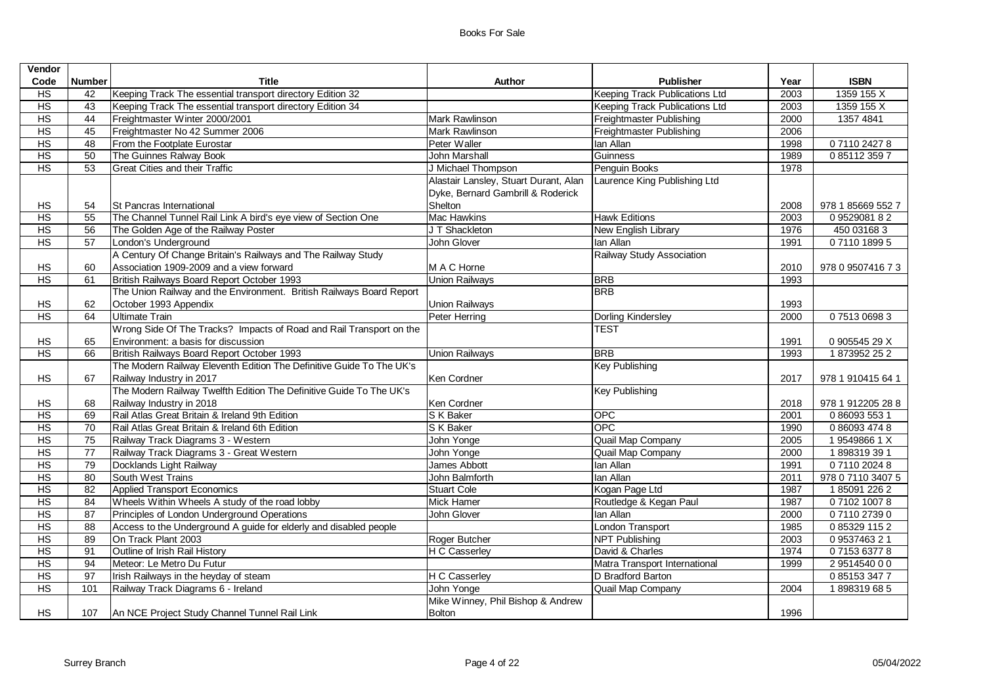| Vendor         |                 |                                                                      |                                       |                                       |      |                   |
|----------------|-----------------|----------------------------------------------------------------------|---------------------------------------|---------------------------------------|------|-------------------|
| Code           | <b>Number</b>   | <b>Title</b>                                                         | <b>Author</b>                         | <b>Publisher</b>                      | Year | <b>ISBN</b>       |
| H <sub>S</sub> | 42              | Keeping Track The essential transport directory Edition 32           |                                       | <b>Keeping Track Publications Ltd</b> | 2003 | 1359 155 X        |
| HS             | 43              | Keeping Track The essential transport directory Edition 34           |                                       | <b>Keeping Track Publications Ltd</b> | 2003 | 1359 155 X        |
| HS             | 44              | Freightmaster Winter 2000/2001                                       | <b>Mark Rawlinson</b>                 | Freightmaster Publishing              | 2000 | 1357 4841         |
| HS             | 45              | Freightmaster No 42 Summer 2006                                      | Mark Rawlinson                        | Freightmaster Publishing              | 2006 |                   |
| HS             | 48              | From the Footplate Eurostar                                          | Peter Waller                          | lan Allan                             | 1998 | 0711024278        |
| HS             | 50              | The Guinnes Ralway Book                                              | <b>John Marshall</b>                  | Guinness                              | 1989 | 0851123597        |
| HS             | 53              | <b>Great Cities and their Traffic</b>                                | J Michael Thompson                    | Penguin Books                         | 1978 |                   |
|                |                 |                                                                      | Alastair Lansley, Stuart Durant, Alan | Laurence King Publishing Ltd          |      |                   |
|                |                 |                                                                      | Dyke, Bernard Gambrill & Roderick     |                                       |      |                   |
| HS             | 54              | St Pancras International                                             | Shelton                               |                                       | 2008 | 978 1 85669 552 7 |
| H <sub>S</sub> | 55              | The Channel Tunnel Rail Link A bird's eye view of Section One        | <b>Mac Hawkins</b>                    | <b>Hawk Editions</b>                  | 2003 | 0952908182        |
| HS             | 56              | The Golden Age of the Railway Poster                                 | J T Shackleton                        | New English Library                   | 1976 | 450 03168 3       |
| HS             | 57              | London's Underground                                                 | John Glover                           | lan Allan                             | 1991 | 0711018995        |
|                |                 | A Century Of Change Britain's Railways and The Railway Study         |                                       | Railway Study Association             |      |                   |
| HS             | 60              | Association 1909-2009 and a view forward                             | M A C Horne                           |                                       | 2010 | 978 0 9507416 7 3 |
| HS             | 61              | British Railways Board Report October 1993                           | <b>Union Railways</b>                 | <b>BRB</b>                            | 1993 |                   |
|                |                 | The Union Railway and the Environment. British Railways Board Report |                                       | <b>BRB</b>                            |      |                   |
| HS             | 62              | October 1993 Appendix                                                | <b>Union Railways</b>                 |                                       | 1993 |                   |
| HS             | 64              | Ultimate Train                                                       | Peter Herring                         | Dorling Kindersley                    | 2000 | 0751306983        |
|                |                 | Wrong Side Of The Tracks? Impacts of Road and Rail Transport on the  |                                       | <b>TEST</b>                           |      |                   |
| HS             | 65              | Environment: a basis for discussion                                  |                                       |                                       | 1991 | 0 905545 29 X     |
| HS             | 66              | British Railways Board Report October 1993                           | <b>Union Railways</b>                 | <b>BRB</b>                            | 1993 | 1873952252        |
|                |                 | The Modern Railway Eleventh Edition The Definitive Guide To The UK's |                                       | <b>Key Publishing</b>                 |      |                   |
| <b>HS</b>      | 67              | Railway Industry in 2017                                             | Ken Cordner                           |                                       | 2017 | 978 1 910415 64 1 |
|                |                 | The Modern Railway Twelfth Edition The Definitive Guide To The UK's  |                                       | <b>Key Publishing</b>                 |      |                   |
| HS             | 68              | Railway Industry in 2018                                             | Ken Cordner                           |                                       | 2018 | 978 1 912205 28 8 |
| HS             | 69              | Rail Atlas Great Britain & Ireland 9th Edition                       | S K Baker                             | OPC                                   | 2001 | 0 86093 553 1     |
| HS             | 70              | Rail Atlas Great Britain & Ireland 6th Edition                       | S K Baker                             | <b>OPC</b>                            | 1990 | 0 86093 474 8     |
| HS             | 75              | Railway Track Diagrams 3 - Western                                   | John Yonge                            | Quail Map Company                     | 2005 | 195498661X        |
| HS             | 77              | Railway Track Diagrams 3 - Great Western                             | John Yonge                            | Quail Map Company                     | 2000 | 1898319391        |
| HS             | 79              | Docklands Light Railway                                              | James Abbott                          | lan Allan                             | 1991 | 0711020248        |
| HS             | 80              | South West Trains                                                    | John Balmforth                        | lan Allan                             | 2011 | 978 0 7110 3407 5 |
| HS             | 82              | Applied Transport Economics                                          | <b>Stuart Cole</b>                    | Kogan Page Ltd                        | 1987 | 1850912262        |
| HS             | 84              | Wheels Within Wheels A study of the road lobby                       | Mick Hamer                            | Routledge & Kegan Paul                | 1987 | 0710210078        |
| HS             | 87              | Principles of London Underground Operations                          | John Glover                           | lan Allan                             | 2000 | 0711027390        |
| HS             | 88              | Access to the Underground A guide for elderly and disabled people    |                                       | London Transport                      | 1985 | 0853291152        |
| HS             | 89              | On Track Plant 2003                                                  | Roger Butcher                         | <b>NPT Publishing</b>                 | 2003 | 0953746321        |
| HS             | $\overline{91}$ | Outline of Irish Rail History                                        | <b>H C Casserley</b>                  | David & Charles                       | 1974 | 0715363778        |
| HS             | 94              | Meteor: Le Metro Du Futur                                            |                                       | Matra Transport International         | 1999 | 2951454000        |
| HS             | 97              | Irish Railways in the heyday of steam                                | <b>H C Casserley</b>                  | D Bradford Barton                     |      | 0851533477        |
| HS             | 101             | Railway Track Diagrams 6 - Ireland                                   | John Yonge                            | Quail Map Company                     | 2004 | 1898319685        |
|                |                 |                                                                      | Mike Winney, Phil Bishop & Andrew     |                                       |      |                   |
| HS             | 107             | An NCE Project Study Channel Tunnel Rail Link                        | <b>Bolton</b>                         |                                       | 1996 |                   |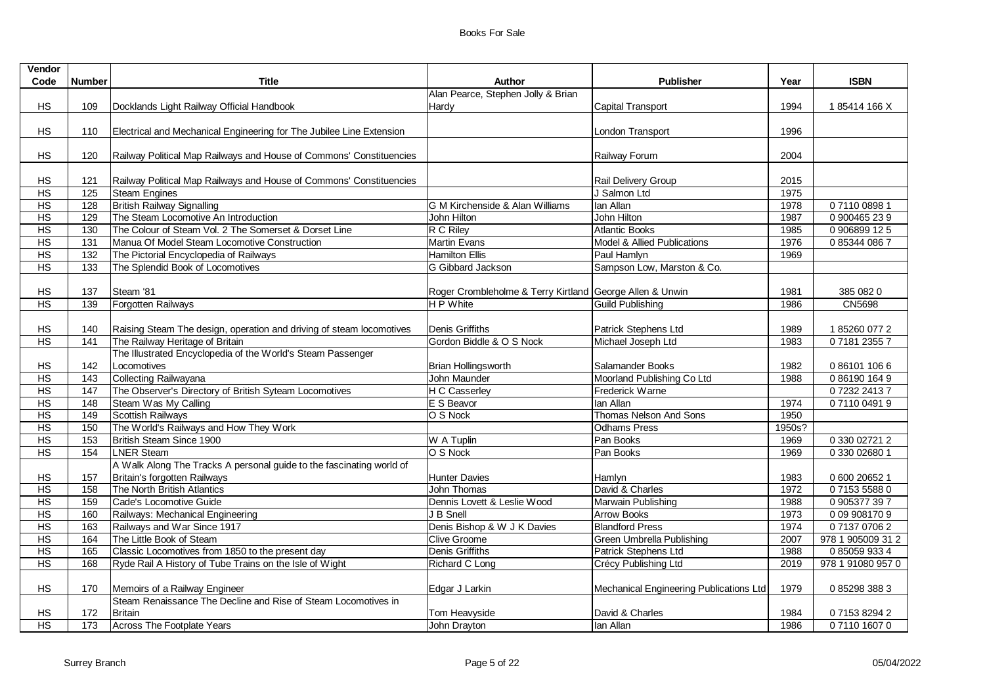| Vendor          |                  |                                                                      |                                                          |                                         |        |                   |
|-----------------|------------------|----------------------------------------------------------------------|----------------------------------------------------------|-----------------------------------------|--------|-------------------|
| Code            | <b>Number</b>    | <b>Title</b>                                                         | <b>Author</b>                                            | <b>Publisher</b>                        | Year   | <b>ISBN</b>       |
|                 |                  |                                                                      | Alan Pearce, Stephen Jolly & Brian                       |                                         |        |                   |
| HS              | 109              | Docklands Light Railway Official Handbook                            | Hardy                                                    | <b>Capital Transport</b>                | 1994   | 185414 166 X      |
|                 |                  |                                                                      |                                                          |                                         |        |                   |
| HS              | 110              | Electrical and Mechanical Engineering for The Jubilee Line Extension |                                                          | London Transport                        | 1996   |                   |
|                 |                  |                                                                      |                                                          |                                         |        |                   |
| <b>HS</b>       | 120              | Railway Political Map Railways and House of Commons' Constituencies  |                                                          | Railway Forum                           | 2004   |                   |
|                 |                  |                                                                      |                                                          |                                         |        |                   |
| HS              | 121              | Railway Political Map Railways and House of Commons' Constituencies  |                                                          | Rail Delivery Group                     | 2015   |                   |
| H <sub>S</sub>  | 125              | <b>Steam Engines</b>                                                 |                                                          | J Salmon Ltd                            | 1975   |                   |
| H <sub>S</sub>  | 128              | <b>British Railway Signalling</b>                                    | IG M Kirchenside & Alan Williams                         | lan Allan                               | 1978   | 0711008981        |
| H <sub>S</sub>  | 129              | The Steam Locomotive An Introduction                                 | John Hilton                                              | John Hilton                             | 1987   | 0 900465 23 9     |
| H <sub>S</sub>  | 130              | The Colour of Steam Vol. 2 The Somerset & Dorset Line                | R C Riley                                                | <b>Atlantic Books</b>                   | 1985   | 0 906899 12 5     |
| H <sub>S</sub>  | $\overline{131}$ | Manua Of Model Steam Locomotive Construction                         | <b>Martin Evans</b>                                      | Model & Allied Publications             | 1976   | 0853440867        |
| H <sub>S</sub>  | 132              | The Pictorial Encyclopedia of Railways                               | <b>Hamilton Ellis</b>                                    | Paul Hamlyn                             | 1969   |                   |
| H <sub>S</sub>  | 133              | The Splendid Book of Locomotives                                     | G Gibbard Jackson                                        | Sampson Low, Marston & Co.              |        |                   |
|                 |                  |                                                                      |                                                          |                                         |        |                   |
| HS              | 137              | Steam '81                                                            | Roger Crombleholme & Terry Kirtland George Allen & Unwin |                                         | 1981   | 385 082 0         |
| HS              | 139              | Forgotten Railways                                                   | H P White                                                | <b>Guild Publishing</b>                 | 1986   | <b>CN5698</b>     |
|                 |                  |                                                                      |                                                          |                                         |        |                   |
| HS              | 140              | Raising Steam The design, operation and driving of steam locomotives | Denis Griffiths                                          | Patrick Stephens Ltd                    | 1989   | 1852600772        |
| H <sub>S</sub>  | 141              | The Railway Heritage of Britain                                      | Gordon Biddle & O S Nock                                 | Michael Joseph Ltd                      | 1983   | 0718123557        |
|                 |                  | The Illustrated Encyclopedia of the World's Steam Passenger          |                                                          |                                         |        |                   |
| <b>HS</b>       | 142              | Locomotives                                                          | <b>Brian Hollingsworth</b>                               | Salamander Books                        | 1982   | 0861011066        |
| H <sub>S</sub>  | $\frac{1}{143}$  | Collecting Railwayana                                                | John Maunder                                             | Moorland Publishing Co Ltd              | 1988   | 0861901649        |
| H <sub>S</sub>  | 147              | The Observer's Directory of British Syteam Locomotives               | H C Casserley                                            | Frederick Warne                         |        | 0723224137        |
| H <sub>S</sub>  | 148              | Steam Was My Calling                                                 | E S Beavor                                               | lan Allan                               | 1974   | 0711004919        |
| H <sub>S</sub>  | 149              | <b>Scottish Railways</b>                                             | O S Nock                                                 | Thomas Nelson And Sons                  | 1950   |                   |
| $\overline{HS}$ | 150              | The World's Railways and How They Work                               |                                                          | <b>Odhams Press</b>                     | 1950s? |                   |
| H <sub>S</sub>  | $\frac{153}{ }$  | British Steam Since 1900                                             | W A Tuplin                                               | Pan Books                               | 1969   | 0 330 02721 2     |
| H <sub>S</sub>  | 154              | <b>LNER Steam</b>                                                    | O S Nock                                                 | Pan Books                               | 1969   | 0 330 0 2680 1    |
|                 |                  | A Walk Along The Tracks A personal guide to the fascinating world of |                                                          |                                         |        |                   |
| HS              | 157              | Britain's forgotten Railways                                         | <b>Hunter Davies</b>                                     | Hamlyn                                  | 1983   | 0 600 20652 1     |
| H <sub>S</sub>  | 158              | The North British Atlantics                                          | John Thomas                                              | David & Charles                         | 1972   | 0715355880        |
| H <sub>S</sub>  | 159              | Cade's Locomotive Guide                                              | Dennis Lovett & Leslie Wood                              | Marwain Publishing                      | 1988   | 0 905377 39 7     |
| H <sub>S</sub>  | 160              | Railways: Mechanical Engineering                                     | J B Snell                                                | <b>Arrow Books</b>                      | 1973   | 0 09 908170 9     |
| H <sub>S</sub>  | 163              | Railways and War Since 1917                                          | Denis Bishop & W J K Davies                              | <b>Blandford Press</b>                  | 1974   | 0713707062        |
| H <sub>S</sub>  | 164              | The Little Book of Steam                                             | <b>Clive Groome</b>                                      | Green Umbrella Publishing               | 2007   | 978 1 905009 31 2 |
| H <sub>S</sub>  | 165              | Classic Locomotives from 1850 to the present day                     | Denis Griffiths                                          | Patrick Stephens Ltd                    | 1988   | 0850599334        |
| H <sub>S</sub>  | 168              | Ryde Rail A History of Tube Trains on the Isle of Wight              | Richard C Long                                           | Crécy Publishing Ltd                    | 2019   | 978 1 91080 957 0 |
|                 |                  |                                                                      |                                                          |                                         |        |                   |
| HS              | 170              | Memoirs of a Railway Engineer                                        | Edgar J Larkin                                           | Mechanical Engineering Publications Ltd | 1979   | 0 85298 388 3     |
|                 |                  | Steam Renaissance The Decline and Rise of Steam Locomotives in       |                                                          |                                         |        |                   |
| HS              | 172              | <b>Britain</b>                                                       | Tom Heavyside                                            | David & Charles                         | 1984   | 0715382942        |
| H <sub>S</sub>  | $\frac{1}{173}$  | Across The Footplate Years                                           | John Drayton                                             | lan Allan                               | 1986   | 0711016070        |
|                 |                  |                                                                      |                                                          |                                         |        |                   |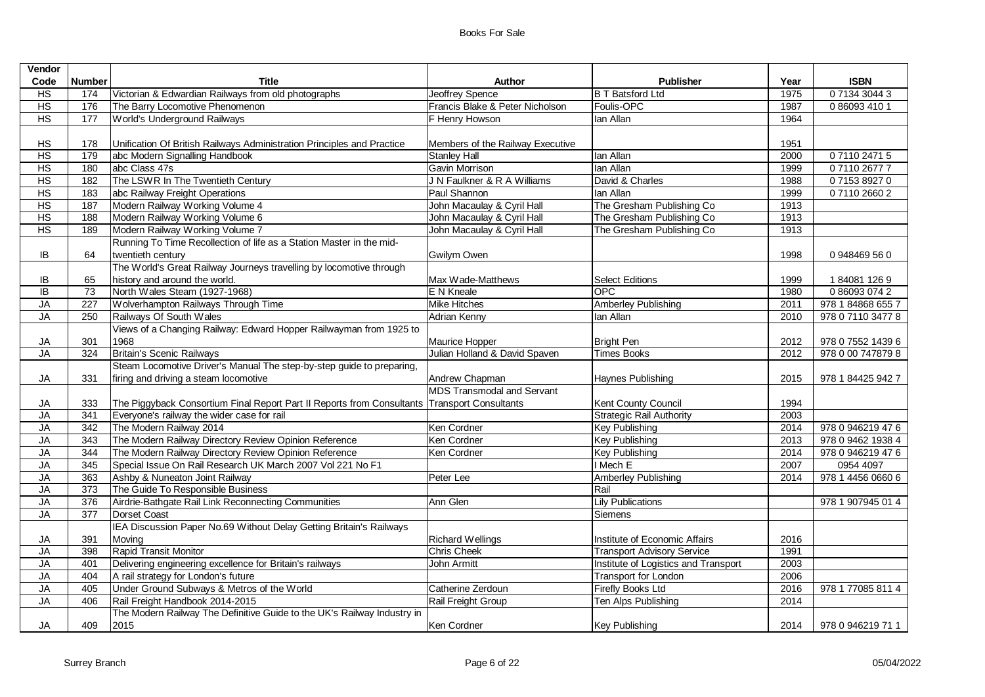| Vendor          |                  |                                                                                              |                                   |                                      |      |                   |
|-----------------|------------------|----------------------------------------------------------------------------------------------|-----------------------------------|--------------------------------------|------|-------------------|
| Code            | <b>Number</b>    | <b>Title</b>                                                                                 | Author                            | <b>Publisher</b>                     | Year | <b>ISBN</b>       |
| H <sub>S</sub>  | 174              | Victorian & Edwardian Railways from old photographs                                          | <b>Jeoffrey Spence</b>            | <b>B T Batsford Ltd</b>              | 1975 | 0 7134 3044 3     |
| H <sub>S</sub>  | 176              | The Barry Locomotive Phenomenon                                                              | Francis Blake & Peter Nicholson   | Foulis-OPC                           | 1987 | 0 86093 410 1     |
| HS              | 177              | World's Underground Railways                                                                 | F Henry Howson                    | lan Allan                            | 1964 |                   |
|                 |                  |                                                                                              |                                   |                                      |      |                   |
| HS              | 178              | Unification Of British Railways Administration Principles and Practice                       | Members of the Railway Executive  |                                      | 1951 |                   |
| HS              | 179              | abc Modern Signalling Handbook                                                               | <b>Stanley Hall</b>               | lan Allan                            | 2000 | 0711024715        |
| HS              | 180              | abc Class 47s                                                                                | Gavin Morrison                    | lan Allan                            | 1999 | 0711026777        |
| HS              | 182              | The LSWR In The Twentieth Century                                                            | J N Faulkner & R A Williams       | David & Charles                      | 1988 | 0715389270        |
| HS              | 183              | abc Railway Freight Operations                                                               | Paul Shannon                      | lan Allan                            | 1999 | 0711026602        |
| HS              | 187              | Modern Railway Working Volume 4                                                              | John Macaulay & Cyril Hall        | The Gresham Publishing Co            | 1913 |                   |
| $\overline{HS}$ | 188              | Modern Railway Working Volume 6                                                              | John Macaulay & Cyril Hall        | The Gresham Publishing Co            | 1913 |                   |
| HS              | 189              | Modern Railway Working Volume 7                                                              | John Macaulay & Cyril Hall        | The Gresham Publishing Co            | 1913 |                   |
|                 |                  | Running To Time Recollection of life as a Station Master in the mid-                         |                                   |                                      |      |                   |
| IB              | 64               | twentieth century                                                                            | Gwilym Owen                       |                                      | 1998 | 0948469560        |
|                 |                  | The World's Great Railway Journeys travelling by locomotive through                          |                                   |                                      |      |                   |
| IB              | 65               | history and around the world.                                                                | Max Wade-Matthews                 | <b>Select Editions</b>               | 1999 | 1840811269        |
| $\overline{B}$  | 73               | North Wales Steam (1927-1968)                                                                | E N Kneale                        | <b>OPC</b>                           | 1980 | 0860930742        |
| JA              | 227              | Wolverhampton Railways Through Time                                                          | <b>Mike Hitches</b>               | <b>Amberley Publishing</b>           | 2011 | 978 1 84868 655 7 |
| <b>JA</b>       | 250              | Railways Of South Wales                                                                      | <b>Adrian Kenny</b>               | lan Allan                            | 2010 | 978 0 7110 3477 8 |
|                 |                  | Views of a Changing Railway: Edward Hopper Railwayman from 1925 to                           |                                   |                                      |      |                   |
| JA              | 301              | 1968                                                                                         | Maurice Hopper                    | <b>Bright Pen</b>                    | 2012 | 978 0 7552 1439 6 |
| <b>JA</b>       | 324              | <b>Britain's Scenic Railways</b>                                                             | Julian Holland & David Spaven     | <b>Times Books</b>                   | 2012 | 978 0 00 747879 8 |
|                 |                  | Steam Locomotive Driver's Manual The step-by-step guide to preparing,                        |                                   |                                      |      |                   |
| JA              | 331              | firing and driving a steam locomotive                                                        | Andrew Chapman                    | Haynes Publishing                    | 2015 | 978 1 84425 942 7 |
|                 |                  |                                                                                              | <b>MDS Transmodal and Servant</b> |                                      |      |                   |
| JA              | 333              | The Piggyback Consortium Final Report Part II Reports from Consultants Transport Consultants |                                   | Kent County Council                  | 1994 |                   |
| JA              | 341              | Everyone's railway the wider case for rail                                                   |                                   | <b>Strategic Rail Authority</b>      | 2003 |                   |
| <b>JA</b>       | 342              | The Modern Railway 2014                                                                      | Ken Cordner                       | <b>Key Publishing</b>                | 2014 | 978 0 946219 47 6 |
| <b>JA</b>       | 343              | The Modern Railway Directory Review Opinion Reference                                        | Ken Cordner                       | <b>Key Publishing</b>                | 2013 | 978 0 9462 1938 4 |
| <b>JA</b>       | 344              | The Modern Railway Directory Review Opinion Reference                                        | Ken Cordner                       | <b>Key Publishing</b>                | 2014 | 978 0 946219 47 6 |
| <b>JA</b>       | $\frac{1}{345}$  | Special Issue On Rail Research UK March 2007 Vol 221 No F1                                   |                                   | I Mech E                             | 2007 | 0954 4097         |
| <b>JA</b>       | 363              | Ashby & Nuneaton Joint Railway                                                               | Peter Lee                         | <b>Amberley Publishing</b>           | 2014 | 978 1 4456 0660 6 |
| JA              | $\overline{373}$ | The Guide To Responsible Business                                                            |                                   | Rail                                 |      |                   |
| JA              | 376              | Airdrie-Bathgate Rail Link Reconnecting Communities                                          | Ann Glen                          | <b>Lily Publications</b>             |      | 978 1 907945 01 4 |
| <b>JA</b>       | $\overline{377}$ | Dorset Coast                                                                                 |                                   | Siemens                              |      |                   |
|                 |                  | IEA Discussion Paper No.69 Without Delay Getting Britain's Railways                          |                                   |                                      |      |                   |
| JA              | 391              | Moving                                                                                       | <b>Richard Wellings</b>           | Institute of Economic Affairs        | 2016 |                   |
| <b>JA</b>       | 398              | Rapid Transit Monitor                                                                        | <b>Chris Cheek</b>                | <b>Transport Advisory Service</b>    | 1991 |                   |
| JA              | 401              | Delivering engineering excellence for Britain's railways                                     | <b>John Armitt</b>                | Institute of Logistics and Transport | 2003 |                   |
| <b>JA</b>       | 404              | A rail strategy for London's future                                                          |                                   | <b>Transport for London</b>          | 2006 |                   |
| <b>JA</b>       | 405              | Under Ground Subways & Metros of the World                                                   | Catherine Zerdoun                 | <b>Firefly Books Ltd</b>             | 2016 | 978 1 77085 811 4 |
| <b>JA</b>       | 406              | Rail Freight Handbook 2014-2015                                                              | Rail Freight Group                | Ten Alps Publishing                  | 2014 |                   |
|                 |                  | The Modern Railway The Definitive Guide to the UK's Railway Industry in                      |                                   |                                      |      |                   |
| JA              | 409              | 2015                                                                                         | Ken Cordner                       | <b>Key Publishing</b>                | 2014 | 978 0 946219 71 1 |
|                 |                  |                                                                                              |                                   |                                      |      |                   |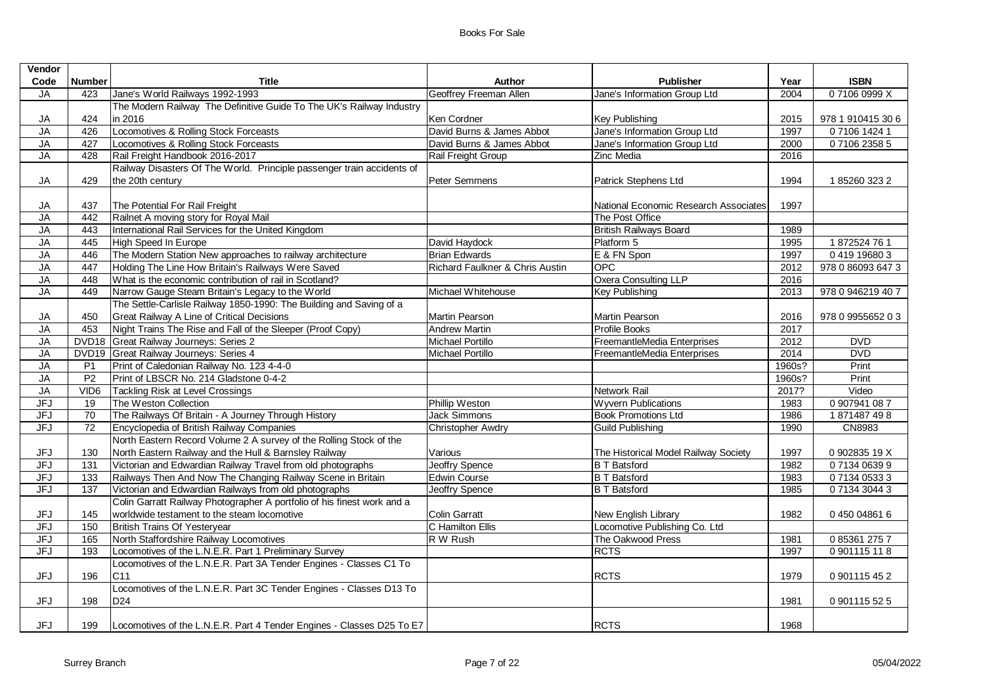| Vendor     |                  |                                                                         |                                 |                                       |        |                   |
|------------|------------------|-------------------------------------------------------------------------|---------------------------------|---------------------------------------|--------|-------------------|
| Code       | <b>Number</b>    | <b>Title</b>                                                            | <b>Author</b>                   | <b>Publisher</b>                      | Year   | <b>ISBN</b>       |
| <b>JA</b>  | 423              | Jane's World Railways 1992-1993                                         | Geoffrey Freeman Allen          | Jane's Information Group Ltd          | 2004   | 071060999X        |
|            |                  | The Modern Railway The Definitive Guide To The UK's Railway Industry    |                                 |                                       |        |                   |
| JA         | 424              | in 2016                                                                 | Ken Cordner                     | Key Publishing                        | 2015   | 978 1 910415 30 6 |
| <b>JA</b>  | 426              | Locomotives & Rolling Stock Forceasts                                   | David Burns & James Abbot       | Jane's Information Group Ltd          | 1997   | 0 7106 1424 1     |
| JA         | 427              | Locomotives & Rolling Stock Forceasts                                   | David Burns & James Abbot       | Jane's Information Group Ltd          | 2000   | 0710623585        |
| JA         | 428              | Rail Freight Handbook 2016-2017                                         | Rail Freight Group              | <b>Zinc Media</b>                     | 2016   |                   |
|            |                  | Railway Disasters Of The World. Principle passenger train accidents of  |                                 |                                       |        |                   |
| JA         | 429              | the 20th century                                                        | Peter Semmens                   | Patrick Stephens Ltd                  | 1994   | 1852603232        |
|            |                  |                                                                         |                                 |                                       |        |                   |
| JA         | 437              | The Potential For Rail Freight                                          |                                 | National Economic Research Associates | 1997   |                   |
| <b>JA</b>  | 442              | Railnet A moving story for Royal Mail                                   |                                 | The Post Office                       |        |                   |
| JA         | 443              | International Rail Services for the United Kingdom                      |                                 | <b>British Railways Board</b>         | 1989   |                   |
| JA         | 445              | High Speed In Europe                                                    | David Haydock                   | Platform 5                            | 1995   | 1872524761        |
| JA         | 446              | The Modern Station New approaches to railway architecture               | <b>Brian Edwards</b>            | E & FN Spon                           | 1997   | 0419196803        |
| JA         | 447              | Holding The Line How Britain's Railways Were Saved                      | Richard Faulkner & Chris Austin | OPC                                   | 2012   | 978 0 86093 647 3 |
| JA         | 448              | What is the economic contribution of rail in Scotland?                  |                                 | Oxera Consulting LLP                  | 2016   |                   |
| <b>JA</b>  | 449              | Narrow Gauge Steam Britain's Legacy to the World                        | Michael Whitehouse              | <b>Key Publishing</b>                 | 2013   | 978 0 946219 40 7 |
|            |                  | The Settle-Carlisle Railway 1850-1990: The Building and Saving of a     |                                 |                                       |        |                   |
| JA         | 450              | Great Railway A Line of Critical Decisions                              | Martin Pearson                  | Martin Pearson                        | 2016   | 978 0 9955652 0 3 |
| <b>JA</b>  | 453              | Night Trains The Rise and Fall of the Sleeper (Proof Copy)              | <b>Andrew Martin</b>            | Profile Books                         | 2017   |                   |
| <b>JA</b>  |                  | DVD18 Great Railway Journeys: Series 2                                  | <b>Michael Portillo</b>         | FreemantleMedia Enterprises           | 2012   | <b>DVD</b>        |
| JA         |                  | DVD19 Great Railway Journeys: Series 4                                  | Michael Portillo                | FreemantleMedia Enterprises           | 2014   | <b>DVD</b>        |
| <b>JA</b>  | P <sub>1</sub>   | Print of Caledonian Railway No. 123 4-4-0                               |                                 |                                       | 1960s? | Print             |
| <b>JA</b>  | P <sub>2</sub>   | Print of LBSCR No. 214 Gladstone 0-4-2                                  |                                 |                                       | 1960s? | Print             |
| $J$ A      | VID <sub>6</sub> | Tackling Risk at Level Crossings                                        |                                 | Network Rail                          | 2017?  | Video             |
| <b>JFJ</b> | 19               | The Weston Collection                                                   | Phillip Weston                  | <b>Wyvern Publications</b>            | 1983   | 0 907941 087      |
| <b>JFJ</b> | 70               | The Railways Of Britain - A Journey Through History                     | <b>Jack Simmons</b>             | <b>Book Promotions Ltd</b>            | 1986   | 1871487498        |
| <b>JFJ</b> | 72               | Encyclopedia of British Railway Companies                               | <b>Christopher Awdry</b>        | <b>Guild Publishing</b>               | 1990   | CN8983            |
|            |                  | North Eastern Record Volume 2 A survey of the Rolling Stock of the      |                                 |                                       |        |                   |
| JFJ        | 130              | North Eastern Railway and the Hull & Barnsley Railway                   | Various                         | The Historical Model Railway Society  | 1997   | 0 902835 19 X     |
| JFJ        | 131              | Victorian and Edwardian Railway Travel from old photographs             | <b>Jeoffry Spence</b>           | <b>B T Batsford</b>                   | 1982   | 0713406399        |
| <b>JFJ</b> | 133              | Railways Then And Now The Changing Railway Scene in Britain             | <b>Edwin Course</b>             | <b>B T Batsford</b>                   | 1983   | 0 7134 0533 3     |
| JFJ        | 137              | Victorian and Edwardian Railways from old photographs                   | <b>Jeoffry Spence</b>           | <b>B T Batsford</b>                   | 1985   | 0 7134 3044 3     |
|            |                  | Colin Garratt Railway Photographer A portfolio of his finest work and a |                                 |                                       |        |                   |
| JFJ        | 145              | worldwide testament to the steam locomotive                             | <b>Colin Garratt</b>            | New English Library                   | 1982   | 0450048616        |
| <b>JFJ</b> | 150              | British Trains Of Yesteryear                                            | C Hamilton Ellis                | Locomotive Publishing Co. Ltd         |        |                   |
| <b>JFJ</b> | 165              | North Staffordshire Railway Locomotives                                 | R W Rush                        | The Oakwood Press                     | 1981   | 0853612757        |
| <b>JFJ</b> | 193              | Locomotives of the L.N.E.R. Part 1 Preliminary Survey                   |                                 | <b>RCTS</b>                           | 1997   | 0 901115 11 8     |
|            |                  | Locomotives of the L.N.E.R. Part 3A Tender Engines - Classes C1 To      |                                 |                                       |        |                   |
| <b>JFJ</b> | 196              | C11                                                                     |                                 | <b>RCTS</b>                           | 1979   | 0 901115 45 2     |
|            |                  | Locomotives of the L.N.E.R. Part 3C Tender Engines - Classes D13 To     |                                 |                                       |        |                   |
| <b>JFJ</b> | 198              | D <sub>24</sub>                                                         |                                 |                                       | 1981   | 0 901115 52 5     |
|            |                  |                                                                         |                                 |                                       |        |                   |
| <b>JFJ</b> | 199              | Locomotives of the L.N.E.R. Part 4 Tender Engines - Classes D25 To E7   |                                 | <b>RCTS</b>                           | 1968   |                   |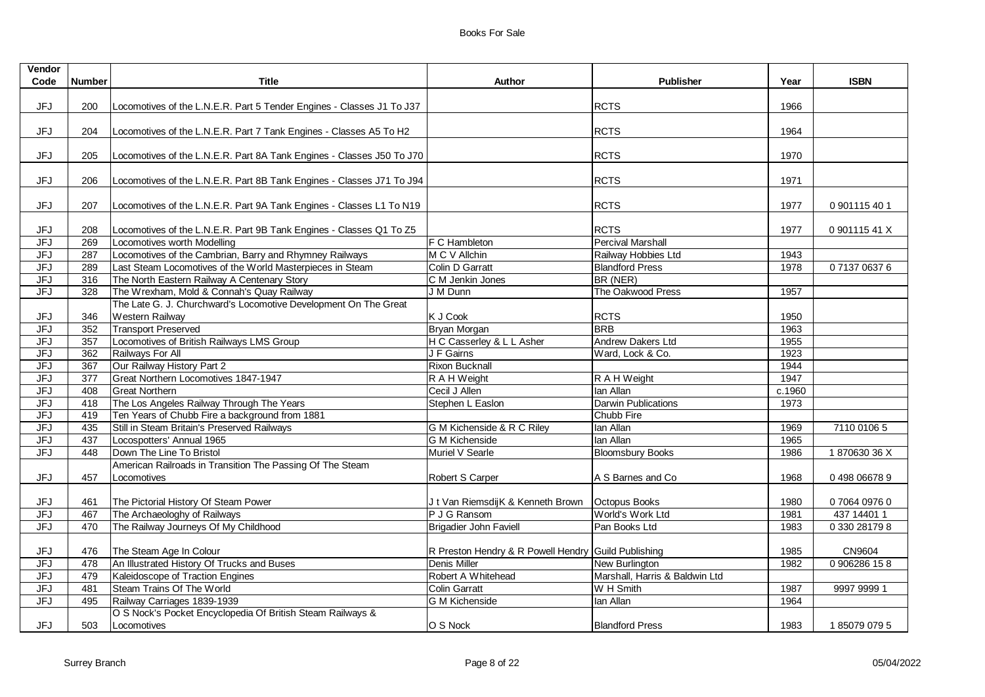| <b>Vendor</b><br>Code | <b>Number</b> | <b>Title</b>                                                              | Author                                              | <b>Publisher</b>               | Year   | <b>ISBN</b>   |
|-----------------------|---------------|---------------------------------------------------------------------------|-----------------------------------------------------|--------------------------------|--------|---------------|
|                       |               |                                                                           |                                                     |                                |        |               |
| JFJ                   | 200           | Locomotives of the L.N.E.R. Part 5 Tender Engines - Classes J1 To J37     |                                                     | <b>RCTS</b>                    | 1966   |               |
| <b>JFJ</b>            | 204           | Locomotives of the L.N.E.R. Part 7 Tank Engines - Classes A5 To H2        |                                                     | <b>RCTS</b>                    | 1964   |               |
| JFJ                   | 205           | Locomotives of the L.N.E.R. Part 8A Tank Engines - Classes J50 To J70     |                                                     | <b>RCTS</b>                    | 1970   |               |
| <b>JFJ</b>            | 206           | Locomotives of the L.N.E.R. Part 8B Tank Engines - Classes J71 To J94     |                                                     | <b>RCTS</b>                    | 1971   |               |
| <b>JFJ</b>            | 207           | Locomotives of the L.N.E.R. Part 9A Tank Engines - Classes L1 To N19      |                                                     | <b>RCTS</b>                    | 1977   | 0 901115 40 1 |
| JFJ                   | 208           | Locomotives of the L.N.E.R. Part 9B Tank Engines - Classes Q1 To Z5       |                                                     | <b>RCTS</b>                    | 1977   | 0 901115 41 X |
| JFJ                   | 269           | Locomotives worth Modelling                                               | F C Hambleton                                       | <b>Percival Marshall</b>       |        |               |
| <b>JFJ</b>            | 287           | Locomotives of the Cambrian, Barry and Rhymney Railways                   | M C V Allchin                                       | Railway Hobbies Ltd            | 1943   |               |
| <b>JFJ</b>            | 289           | Last Steam Locomotives of the World Masterpieces in Steam                 | Colin D Garratt                                     | <b>Blandford Press</b>         | 1978   | 0713706376    |
| <b>JFJ</b>            | 316           | The North Eastern Railway A Centenary Story                               | C M Jenkin Jones                                    | BR (NER)                       |        |               |
| <b>JFJ</b>            | 328           | The Wrexham, Mold & Connah's Quay Railway                                 | J M Dunn                                            | The Oakwood Press              | 1957   |               |
|                       |               | The Late G. J. Churchward's Locomotive Development On The Great           |                                                     |                                |        |               |
| <b>JFJ</b>            | 346           | Western Railway                                                           | K J Cook                                            | <b>RCTS</b>                    | 1950   |               |
| JFJ                   | 352           | <b>Transport Preserved</b>                                                | Bryan Morgan                                        | <b>BRB</b>                     | 1963   |               |
| <b>JFJ</b>            | 357           | Locomotives of British Railways LMS Group                                 | H C Casserley & L L Asher                           | Andrew Dakers Ltd              | 1955   |               |
| <b>JFJ</b>            | 362           | Railways For All                                                          | J F Gairns                                          | Ward, Lock & Co.               | 1923   |               |
| JFJ                   | 367           | Our Railway History Part 2                                                | Rixon Bucknall                                      |                                | 1944   |               |
| <b>JFJ</b>            | 377           | Great Northern Locomotives 1847-1947                                      | R A H Weight                                        | R A H Weight                   | 1947   |               |
| <b>JFJ</b>            | 408           | <b>Great Northern</b>                                                     | Cecil J Allen                                       | lan Allan                      | c.1960 |               |
| <b>JFJ</b>            | 418           | The Los Angeles Railway Through The Years                                 | Stephen L Easlon                                    | <b>Darwin Publications</b>     | 1973   |               |
| <b>JFJ</b>            | 419           | Ten Years of Chubb Fire a background from 1881                            |                                                     | Chubb Fire                     |        |               |
| <b>JFJ</b>            | 435           | Still in Steam Britain's Preserved Railways                               | G M Kichenside & R C Riley                          | lan Allan                      | 1969   | 7110 0106 5   |
| <b>JFJ</b>            | 437           | Locospotters' Annual 1965                                                 | <b>G M Kichenside</b>                               | lan Allan                      | 1965   |               |
| <b>JFJ</b>            | 448           | Down The Line To Bristol                                                  | Muriel V Searle                                     | <b>Bloomsbury Books</b>        | 1986   | 187063036X    |
| <b>JFJ</b>            | 457           | American Railroads in Transition The Passing Of The Steam<br>Locomotives  | Robert S Carper                                     | A S Barnes and Co              | 1968   | 0 498 06678 9 |
| JFJ                   | 461           | The Pictorial History Of Steam Power                                      | J t Van RiemsdijK & Kenneth Brown   Octopus Books   |                                | 1980   | 07064 0976 0  |
| <b>JFJ</b>            | 467           | The Archaeologhy of Railways                                              | P J G Ransom                                        | World's Work Ltd               | 1981   | 437 14401 1   |
| JFJ                   | 470           | The Railway Journeys Of My Childhood                                      | <b>Brigadier John Faviell</b>                       | Pan Books Ltd                  | 1983   | 0 330 28179 8 |
| JFJ                   | 476           | The Steam Age In Colour                                                   | R Preston Hendry & R Powell Hendry Guild Publishing |                                | 1985   | CN9604        |
| <b>JFJ</b>            | 478           | An Illustrated History Of Trucks and Buses                                | <b>Denis Miller</b>                                 | New Burlington                 | 1982   | 0 906286 158  |
| <b>JFJ</b>            | 479           | Kaleidoscope of Traction Engines                                          | Robert A Whitehead                                  | Marshall, Harris & Baldwin Ltd |        |               |
| <b>JFJ</b>            | 481           | Steam Trains Of The World                                                 | <b>Colin Garratt</b>                                | W H Smith                      | 1987   | 9997 9999 1   |
| JFJ                   | 495           | Railway Carriages 1839-1939                                               | <b>G M Kichenside</b>                               | lan Allan                      | 1964   |               |
| <b>JFJ</b>            | 503           | O S Nock's Pocket Encyclopedia Of British Steam Railways &<br>Locomotives | O S Nock                                            | <b>Blandford Press</b>         | 1983   | 1850790795    |
|                       |               |                                                                           |                                                     |                                |        |               |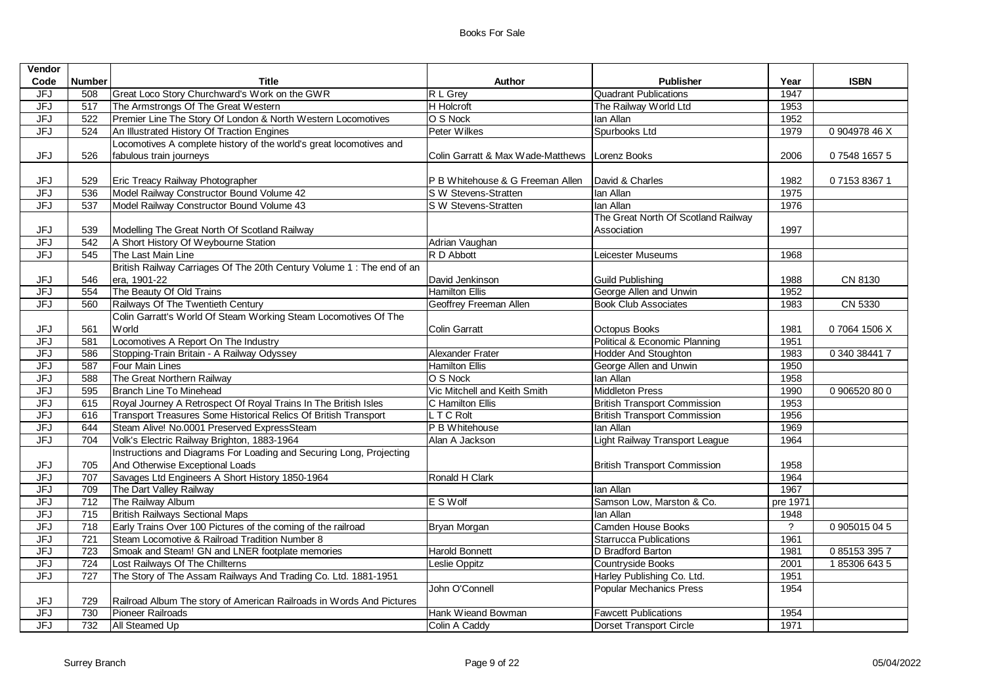| Vendor     |                 |                                                                        |                                                  |                                     |            |               |
|------------|-----------------|------------------------------------------------------------------------|--------------------------------------------------|-------------------------------------|------------|---------------|
| Code       | <b>Number</b>   | <b>Title</b>                                                           | Author                                           | <b>Publisher</b>                    | Year       | <b>ISBN</b>   |
| <b>JFJ</b> | 508             | Great Loco Story Churchward's Work on the GWR                          | R L Grey                                         | <b>Quadrant Publications</b>        | 1947       |               |
| JFJ        | 517             | The Armstrongs Of The Great Western                                    | <b>H</b> Holcroft                                | The Railway World Ltd               | 1953       |               |
| <b>JFJ</b> | 522             | Premier Line The Story Of London & North Western Locomotives           | O S Nock                                         | lan Allan                           | 1952       |               |
| <b>JFJ</b> | 524             | An Illustrated History Of Traction Engines                             | Peter Wilkes                                     | Spurbooks Ltd                       | 1979       | 0 904978 46 X |
|            |                 | Locomotives A complete history of the world's great locomotives and    |                                                  |                                     |            |               |
| <b>JFJ</b> | 526             | fabulous train journeys                                                | Colin Garratt & Max Wade-Matthews   Lorenz Books |                                     | 2006       | 07548 1657 5  |
|            |                 |                                                                        |                                                  |                                     |            |               |
| JFJ        | 529             | Eric Treacy Railway Photographer                                       | P B Whitehouse & G Freeman Allen                 | David & Charles                     | 1982       | 0715383671    |
| <b>JFJ</b> | 536             | Model Railway Constructor Bound Volume 42                              | S W Stevens-Stratten                             | lan Allan                           | 1975       |               |
| <b>JFJ</b> | 537             | Model Railway Constructor Bound Volume 43                              | S W Stevens-Stratten                             | Ian Allan                           | 1976       |               |
|            |                 |                                                                        |                                                  | The Great North Of Scotland Railway |            |               |
| JFJ        | 539             | Modelling The Great North Of Scotland Railway                          |                                                  | Association                         | 1997       |               |
| <b>JFJ</b> | 542             | A Short History Of Weybourne Station                                   | Adrian Vaughan                                   |                                     |            |               |
| <b>JFJ</b> | 545             | The Last Main Line                                                     | R D Abbott                                       | Leicester Museums                   | 1968       |               |
|            |                 | British Railway Carriages Of The 20th Century Volume 1 : The end of an |                                                  |                                     |            |               |
| JFJ        | 546             | era, 1901-22                                                           | David Jenkinson                                  | <b>Guild Publishing</b>             | 1988       | CN 8130       |
| <b>JFJ</b> | 554             | The Beauty Of Old Trains                                               | <b>Hamilton Ellis</b>                            | George Allen and Unwin              | 1952       |               |
| <b>JFJ</b> | 560             | Railways Of The Twentieth Century                                      | Geoffrey Freeman Allen                           | <b>Book Club Associates</b>         | 1983       | CN 5330       |
|            |                 | Colin Garratt's World Of Steam Working Steam Locomotives Of The        |                                                  |                                     |            |               |
| JFJ        | 561             | World                                                                  | <b>Colin Garratt</b>                             | Octopus Books                       | 1981       | 07064 1506 X  |
| JFJ        | 581             | Locomotives A Report On The Industry                                   |                                                  | Political & Economic Planning       | 1951       |               |
| JFJ        | 586             | Stopping-Train Britain - A Railway Odyssey                             | Alexander Frater                                 | <b>Hodder And Stoughton</b>         | 1983       | 0 340 38441 7 |
| <b>JFJ</b> | 587             | Four Main Lines                                                        | <b>Hamilton Ellis</b>                            | George Allen and Unwin              | 1950       |               |
| JFJ        | 588             | The Great Northern Railway                                             | O S Nock                                         | lan Allan                           | 1958       |               |
| <b>JFJ</b> | 595             | Branch Line To Minehead                                                | Vic Mitchell and Keith Smith                     | <b>Middleton Press</b>              | 1990       | 0 906520 80 0 |
| <b>JFJ</b> | 615             | Royal Journey A Retrospect Of Royal Trains In The British Isles        | C Hamilton Ellis                                 | <b>British Transport Commission</b> | 1953       |               |
| <b>JFJ</b> | 616             | Transport Treasures Some Historical Relics Of British Transport        | L T C Rolt                                       | <b>British Transport Commission</b> | 1956       |               |
| <b>JFJ</b> | 644             | Steam Alive! No.0001 Preserved ExpressSteam                            | P B Whitehouse                                   | lan Allan                           | 1969       |               |
| <b>JFJ</b> | 704             | Volk's Electric Railway Brighton, 1883-1964                            | Alan A Jackson                                   | Light Railway Transport League      | 1964       |               |
|            |                 | Instructions and Diagrams For Loading and Securing Long, Projecting    |                                                  |                                     |            |               |
| JFJ        | 705             | And Otherwise Exceptional Loads                                        |                                                  | British Transport Commission        | 1958       |               |
| <b>JFJ</b> | 707             | Savages Ltd Engineers A Short History 1850-1964                        | Ronald H Clark                                   |                                     | 1964       |               |
| JFJ        | 709             | The Dart Valley Railway                                                |                                                  | lan Allan                           | 1967       |               |
| <b>JFJ</b> | 712             | The Railway Album                                                      | E S Wolf                                         | Samson Low, Marston & Co.           | pre 1971   |               |
| JFJ        | $\frac{1}{715}$ | <b>British Railways Sectional Maps</b>                                 |                                                  | Ian Allan                           | 1948       |               |
| <b>JFJ</b> | 718             | Early Trains Over 100 Pictures of the coming of the railroad           | <b>Bryan Morgan</b>                              | Camden House Books                  | $\ddot{?}$ | 0 905015 04 5 |
| <b>JFJ</b> | 721             | Steam Locomotive & Railroad Tradition Number 8                         |                                                  | <b>Starrucca Publications</b>       | 1961       |               |
| <b>JFJ</b> | 723             | Smoak and Steam! GN and LNER footplate memories                        | <b>Harold Bonnett</b>                            | D Bradford Barton                   | 1981       | 0 85153 395 7 |
| <b>JFJ</b> | 724             | Lost Railways Of The Chillterns                                        | Leslie Oppitz                                    | Countryside Books                   | 2001       | 1853066435    |
| <b>JFJ</b> | 727             | The Story of The Assam Railways And Trading Co. Ltd. 1881-1951         |                                                  | Harley Publishing Co. Ltd.          | 1951       |               |
|            |                 |                                                                        | John O'Connell                                   | <b>Popular Mechanics Press</b>      | 1954       |               |
| JFJ        | 729             | Railroad Album The story of American Railroads in Words And Pictures   |                                                  |                                     |            |               |
| <b>JFJ</b> | 730             | Pioneer Railroads                                                      | Hank Wieand Bowman                               | <b>Fawcett Publications</b>         | 1954       |               |
| <b>JFJ</b> | 732             | All Steamed Up                                                         | Colin A Caddy                                    | Dorset Transport Circle             | 1971       |               |
|            |                 |                                                                        |                                                  |                                     |            |               |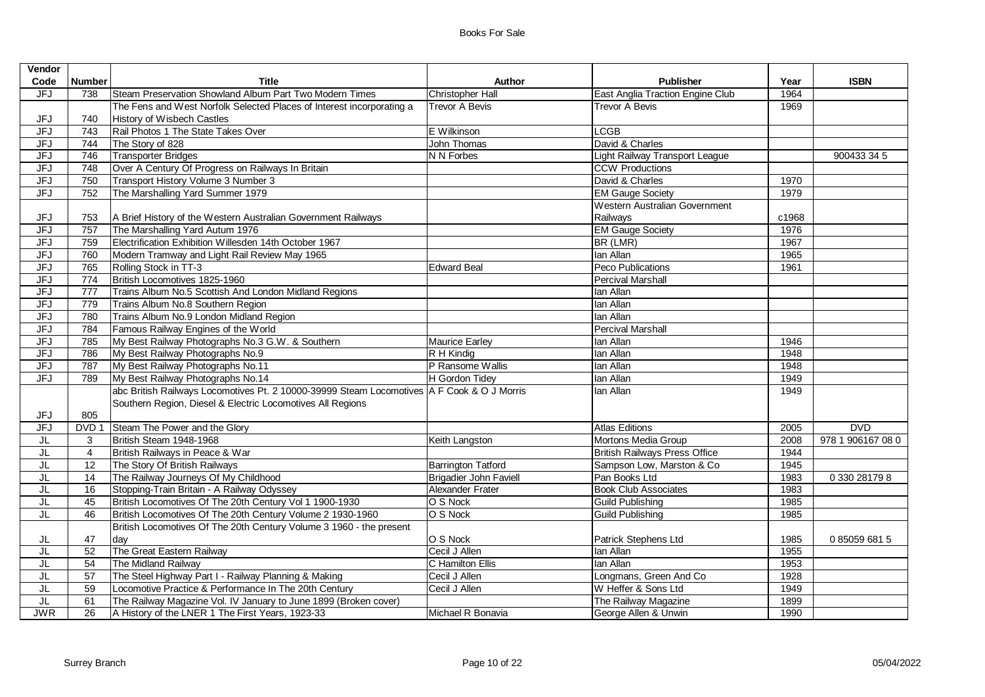| Vendor                   |                  |                                                                                            |                               |                                      |       |                   |
|--------------------------|------------------|--------------------------------------------------------------------------------------------|-------------------------------|--------------------------------------|-------|-------------------|
| Code                     | <b>Number</b>    | Title                                                                                      | <b>Author</b>                 | <b>Publisher</b>                     | Year  | <b>ISBN</b>       |
| JFJ                      | 738              | Steam Preservation Showland Album Part Two Modern Times                                    | Christopher Hall              | East Anglia Traction Engine Club     | 1964  |                   |
|                          |                  | The Fens and West Norfolk Selected Places of Interest incorporating a                      | Trevor A Bevis                | <b>Trevor A Bevis</b>                | 1969  |                   |
| JFJ                      | 740              | History of Wisbech Castles                                                                 |                               |                                      |       |                   |
| <b>JFJ</b>               | 743              | Rail Photos 1 The State Takes Over                                                         | E Wilkinson                   | <b>LCGB</b>                          |       |                   |
| <b>JFJ</b>               | 744              | The Story of 828                                                                           | John Thomas                   | David & Charles                      |       |                   |
| <b>JFJ</b>               | 746              | <b>Transporter Bridges</b>                                                                 | N N Forbes                    | Light Railway Transport League       |       | 900433 34 5       |
| <b>JFJ</b>               | 748              | Over A Century Of Progress on Railways In Britain                                          |                               | <b>CCW Productions</b>               |       |                   |
| <b>JFJ</b>               | 750              | Transport History Volume 3 Number 3                                                        |                               | David & Charles                      | 1970  |                   |
| <b>JFJ</b>               | 752              | The Marshalling Yard Summer 1979                                                           |                               | <b>EM Gauge Society</b>              | 1979  |                   |
|                          |                  |                                                                                            |                               | Western Australian Government        |       |                   |
| JFJ                      | 753              | A Brief History of the Western Australian Government Railways                              |                               | Railways                             | c1968 |                   |
| JFJ                      | 757              | The Marshalling Yard Autum 1976                                                            |                               | <b>EM Gauge Society</b>              | 1976  |                   |
| <b>JFJ</b>               | 759              | Electrification Exhibition Willesden 14th October 1967                                     |                               | BR (LMR)                             | 1967  |                   |
| <b>JFJ</b>               | 760              | Modern Tramway and Light Rail Review May 1965                                              |                               | lan Allan                            | 1965  |                   |
| <b>JFJ</b>               | 765              | Rolling Stock in TT-3                                                                      | <b>Edward Beal</b>            | Peco Publications                    | 1961  |                   |
| <b>JFJ</b>               | 774              | British Locomotives 1825-1960                                                              |                               | <b>Percival Marshall</b>             |       |                   |
| JFJ                      | 777              | Trains Album No.5 Scottish And London Midland Regions                                      |                               | lan Allan                            |       |                   |
| <b>JFJ</b>               | 779              | Trains Album No.8 Southern Region                                                          |                               | lan Allan                            |       |                   |
| <b>JFJ</b>               | 780              | Trains Album No.9 London Midland Region                                                    |                               | lan Allan                            |       |                   |
| <b>JFJ</b>               | 784              | Famous Railway Engines of the World                                                        |                               | Percival Marshall                    |       |                   |
| <b>JFJ</b>               | 785              | My Best Railway Photographs No.3 G.W. & Southern                                           | <b>Maurice Earley</b>         | lan Allan                            | 1946  |                   |
| <b>JFJ</b>               | 786              | My Best Railway Photographs No.9                                                           | R H Kindig                    | lan Allan                            | 1948  |                   |
| <b>JFJ</b>               | 787              | My Best Railway Photographs No.11                                                          | P Ransome Wallis              | lan Allan                            | 1948  |                   |
| <b>JFJ</b>               | 789              | My Best Railway Photographs No.14                                                          | H Gordon Tidey                | lan Allan                            | 1949  |                   |
|                          |                  | abc British Railways Locomotives Pt. 2 10000-39999 Steam Locomotives A F Cook & O J Morris |                               | lan Allan                            | 1949  |                   |
|                          |                  | Southern Region, Diesel & Electric Locomotives All Regions                                 |                               |                                      |       |                   |
| JFJ                      | 805              |                                                                                            |                               |                                      |       |                   |
| <b>JFJ</b>               | DVD <sub>1</sub> | Steam The Power and the Glory                                                              |                               | <b>Atlas Editions</b>                | 2005  | <b>DVD</b>        |
| JL                       | 3                | British Steam 1948-1968                                                                    | Keith Langston                | Mortons Media Group                  | 2008  | 978 1 906167 08 0 |
| JL                       | $\overline{4}$   | British Railways in Peace & War                                                            |                               | <b>British Railways Press Office</b> | 1944  |                   |
| JL                       | 12               | The Story Of British Railways                                                              | <b>Barrington Tatford</b>     | Sampson Low, Marston & Co            | 1945  |                   |
| JL                       | 14               | The Railway Journeys Of My Childhood                                                       | <b>Brigadier John Faviell</b> | Pan Books Ltd                        | 1983  | 0 330 28179 8     |
| JL                       | 16               | Stopping-Train Britain - A Railway Odyssey                                                 | Alexander Frater              | <b>Book Club Associates</b>          | 1983  |                   |
| $\overline{\mathsf{JL}}$ | 45               | British Locomotives Of The 20th Century Vol 1 1900-1930                                    | O S Nock                      | <b>Guild Publishing</b>              | 1985  |                   |
| JL                       | 46               | British Locomotives Of The 20th Century Volume 2 1930-1960                                 | O S Nock                      | <b>Guild Publishing</b>              | 1985  |                   |
|                          |                  | British Locomotives Of The 20th Century Volume 3 1960 - the present                        |                               |                                      |       |                   |
| JL                       | 47               | day                                                                                        | O S Nock                      | Patrick Stephens Ltd                 | 1985  | 0850596815        |
| JL                       | 52               | The Great Eastern Railway                                                                  | Cecil J Allen                 | lan Allan                            | 1955  |                   |
| JL                       | 54               | The Midland Railway                                                                        | C Hamilton Ellis              | lan Allan                            | 1953  |                   |
| JL                       | 57               | The Steel Highway Part I - Railway Planning & Making                                       | Cecil J Allen                 | Longmans, Green And Co               | 1928  |                   |
| JL                       | 59               | Locomotive Practice & Performance In The 20th Century                                      | Cecil J Allen                 | W Heffer & Sons Ltd                  | 1949  |                   |
| JL                       | 61               | The Railway Magazine Vol. IV January to June 1899 (Broken cover)                           |                               | The Railway Magazine                 | 1899  |                   |
| <b>JWR</b>               | $\overline{26}$  | A History of the LNER 1 The First Years, 1923-33                                           | Michael R Bonavia             | George Allen & Unwin                 | 1990  |                   |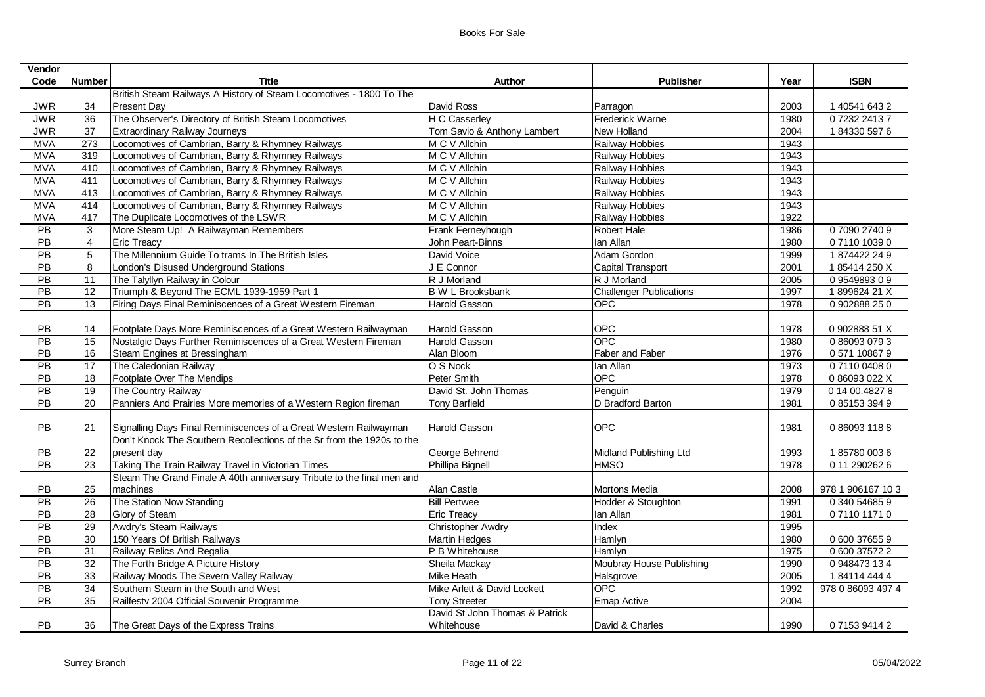| Vendor          |                  |                                                                        |                                |                                |      |                   |
|-----------------|------------------|------------------------------------------------------------------------|--------------------------------|--------------------------------|------|-------------------|
| Code            | <b>Number</b>    | <b>Title</b>                                                           | Author                         | <b>Publisher</b>               | Year | <b>ISBN</b>       |
|                 |                  | British Steam Railways A History of Steam Locomotives - 1800 To The    |                                |                                |      |                   |
| <b>JWR</b>      | 34               | <b>Present Day</b>                                                     | David Ross                     | Parragon                       | 2003 | 1 40541 643 2     |
| <b>JWR</b>      | 36               | The Observer's Directory of British Steam Locomotives                  | H C Casserley                  | Frederick Warne                | 1980 | 0723224137        |
| <b>JWR</b>      | $\overline{37}$  | <b>Extraordinary Railway Journeys</b>                                  | Tom Savio & Anthony Lambert    | New Holland                    | 2004 | 1843305976        |
| <b>MVA</b>      | $\overline{273}$ | Locomotives of Cambrian, Barry & Rhymney Railways                      | M C V Allchin                  | Railway Hobbies                | 1943 |                   |
| <b>MVA</b>      | 319              | Locomotives of Cambrian, Barry & Rhymney Railways                      | M C V Allchin                  | Railway Hobbies                | 1943 |                   |
| <b>MVA</b>      | 410              | Locomotives of Cambrian, Barry & Rhymney Railways                      | M C V Allchin                  | Railway Hobbies                | 1943 |                   |
| <b>MVA</b>      | 411              | Locomotives of Cambrian, Barry & Rhymney Railways                      | M C V Allchin                  | Railway Hobbies                | 1943 |                   |
| <b>MVA</b>      | 413              | Locomotives of Cambrian, Barry & Rhymney Railways                      | M C V Allchin                  | Railway Hobbies                | 1943 |                   |
| <b>MVA</b>      | 414              | Locomotives of Cambrian, Barry & Rhymney Railways                      | M C V Allchin                  | Railway Hobbies                | 1943 |                   |
| <b>MVA</b>      | 417              | The Duplicate Locomotives of the LSWR                                  | M C V Allchin                  | Railway Hobbies                | 1922 |                   |
| $\overline{PB}$ | 3                | More Steam Up! A Railwayman Remembers                                  | Frank Ferneyhough              | Robert Hale                    | 1986 | 0709027409        |
| PB              | $\overline{4}$   | <b>Eric Treacy</b>                                                     | John Peart-Binns               | lan Allan                      | 1980 | 0711010390        |
| PB              | 5                | The Millennium Guide To trams In The British Isles                     | David Voice                    | Adam Gordon                    | 1999 | 1874422249        |
| PB              | 8                | London's Disused Underground Stations                                  | J E Connor                     | <b>Capital Transport</b>       | 2001 | 185414250X        |
| PB              | 11               | The Talyllyn Railway in Colour                                         | R J Morland                    | R J Morland                    | 2005 | 0954989309        |
| PB              | 12               | Triumph & Beyond The ECML 1939-1959 Part 1                             | <b>B</b> W L Brooksbank        | <b>Challenger Publications</b> | 1997 | 1899624 21 X      |
| PB              | 13               | Firing Days Final Reminiscences of a Great Western Fireman             | Harold Gasson                  | <b>OPC</b>                     | 1978 | 0 902888 250      |
|                 |                  |                                                                        |                                |                                |      |                   |
| <b>PB</b>       | 14               | Footplate Days More Reminiscences of a Great Western Railwayman        | Harold Gasson                  | OPC                            | 1978 | 0 902888 51 X     |
| PB              | 15               | Nostalgic Days Further Reminiscences of a Great Western Fireman        | Harold Gasson                  | <b>OPC</b>                     | 1980 | 0860930793        |
| PB              | 16               | Steam Engines at Bressingham                                           | Alan Bloom                     | Faber and Faber                | 1976 | 0 571 10867 9     |
| PB              | 17               | The Caledonian Railway                                                 | O S Nock                       | lan Allan                      | 1973 | 0711004080        |
| $\overline{PB}$ | 18               | Footplate Over The Mendips                                             | Peter Smith                    | OPC                            | 1978 | 0 86093 022 X     |
| PB              | 19               | The Country Railway                                                    | David St. John Thomas          | Penguin                        | 1979 | 0 14 00.4827 8    |
| <b>PB</b>       | 20               | Panniers And Prairies More memories of a Western Region fireman        | <b>Tony Barfield</b>           | D Bradford Barton              | 1981 | 0851533949        |
|                 |                  |                                                                        |                                |                                |      |                   |
| <b>PB</b>       | 21               | Signalling Days Final Reminiscences of a Great Western Railwayman      | Harold Gasson                  | OPC                            | 1981 | 0860931188        |
|                 |                  | Don't Knock The Southern Recollections of the Sr from the 1920s to the |                                |                                |      |                   |
| PB              | 22               | present day                                                            | George Behrend                 | Midland Publishing Ltd         | 1993 | 1857800036        |
| <b>PB</b>       | 23               | Taking The Train Railway Travel in Victorian Times                     | Phillipa Bignell               | <b>HMSO</b>                    | 1978 | 0 11 290262 6     |
|                 |                  | Steam The Grand Finale A 40th anniversary Tribute to the final men and |                                |                                |      |                   |
| PB              | 25               | machines                                                               | Alan Castle                    | Mortons Media                  | 2008 | 978 1 906167 10 3 |
| PB              | 26               | The Station Now Standing                                               | <b>Bill Pertwee</b>            | Hodder & Stoughton             | 1991 | 0 340 54685 9     |
| $\overline{PB}$ | $\overline{28}$  | Glory of Steam                                                         | <b>Eric Treacy</b>             | lan Allan                      | 1981 | 0711011710        |
| PB              | 29               | Awdry's Steam Railways                                                 | <b>Christopher Awdry</b>       | Index                          | 1995 |                   |
| PB              | 30               | 150 Years Of British Railways                                          | <b>Martin Hedges</b>           | Hamlyn                         | 1980 | 0 600 37655 9     |
| PB              | 31               | Railway Relics And Regalia                                             | P B Whitehouse                 | Hamlyn                         | 1975 | 0 600 37572 2     |
| $\overline{PB}$ | 32               | The Forth Bridge A Picture History                                     | Sheila Mackay                  | Moubray House Publishing       | 1990 | 0 948473 134      |
| PB              | 33               | Railway Moods The Severn Valley Railway                                | Mike Heath                     | Halsgrove                      | 2005 | 1841144444        |
| PB              | 34               | Southern Steam in the South and West                                   | Mike Arlett & David Lockett    | OPC                            | 1992 | 978 0 86093 497 4 |
| PB              | 35               | Railfestv 2004 Official Souvenir Programme                             | <b>Tony Streeter</b>           | Emap Active                    | 2004 |                   |
|                 |                  |                                                                        | David St John Thomas & Patrick |                                |      |                   |
| <b>PB</b>       | 36               | The Great Days of the Express Trains                                   | <b>Whitehouse</b>              | David & Charles                | 1990 | 0715394142        |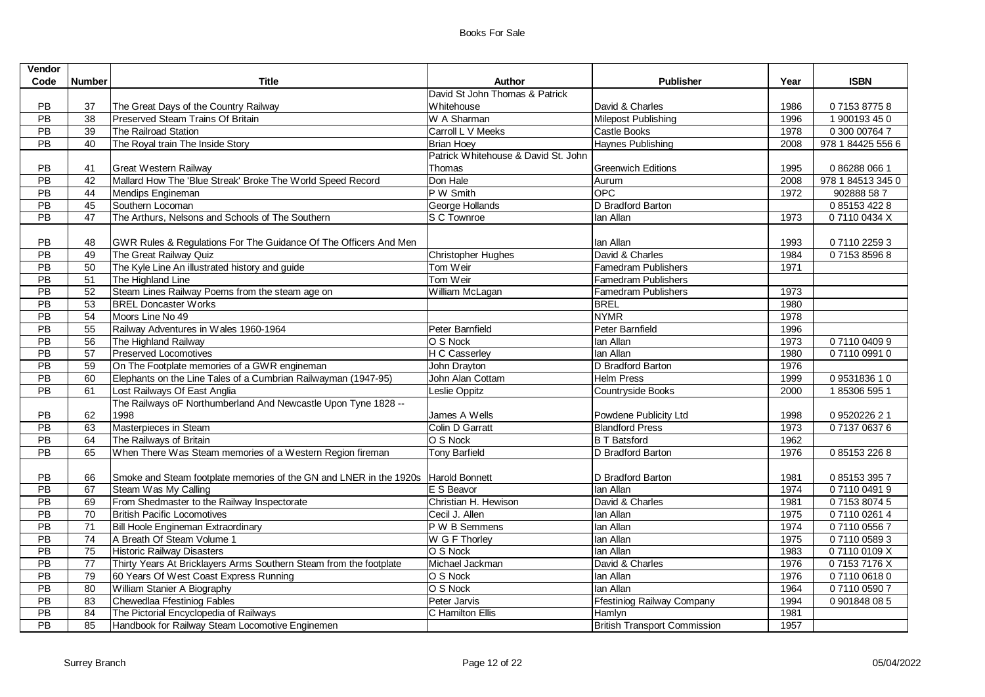| <b>Vendor</b>   |                 |                                                                                   |                                     |                                     |      |                   |
|-----------------|-----------------|-----------------------------------------------------------------------------------|-------------------------------------|-------------------------------------|------|-------------------|
| Code            | <b>Number</b>   | <b>Title</b>                                                                      | <b>Author</b>                       | <b>Publisher</b>                    | Year | <b>ISBN</b>       |
|                 |                 |                                                                                   | David St John Thomas & Patrick      |                                     |      |                   |
| PB              | 37              | The Great Days of the Country Railway                                             | Whitehouse                          | David & Charles                     | 1986 | 0715387758        |
| $\overline{PB}$ | $\overline{38}$ | Preserved Steam Trains Of Britain                                                 | W A Sharman                         | Milepost Publishing                 | 1996 | 1 900193 45 0     |
| PB              | 39              | The Railroad Station                                                              | Carroll L V Meeks                   | Castle Books                        | 1978 | 0 300 00764 7     |
| $\overline{PB}$ | 40              | The Royal train The Inside Story                                                  | <b>Brian Hoey</b>                   | Haynes Publishing                   | 2008 | 978 1 84425 556 6 |
|                 |                 |                                                                                   | Patrick Whitehouse & David St. John |                                     |      |                   |
| <b>PB</b>       | 41              | <b>Great Western Railway</b>                                                      | Thomas                              | <b>Greenwich Editions</b>           | 1995 | 0 86288 066 1     |
| $\overline{PB}$ | 42              | Mallard How The 'Blue Streak' Broke The World Speed Record                        | Don Hale                            | Aurum                               | 2008 | 978 1 84513 345 0 |
| PB              | 44              | Mendips Engineman                                                                 | P W Smith                           | <b>OPC</b>                          | 1972 | 902888 587        |
| $\overline{PB}$ | 45              | Southern Locoman                                                                  | George Hollands                     | D Bradford Barton                   |      | 0 85153 422 8     |
| PB              | 47              | The Arthurs, Nelsons and Schools of The Southern                                  | S C Townroe                         | lan Allan                           | 1973 | 071100434X        |
|                 |                 |                                                                                   |                                     |                                     |      |                   |
| PB.             | 48              | GWR Rules & Regulations For The Guidance Of The Officers And Men                  |                                     | lan Allan                           | 1993 | 0711022593        |
| PB              | 49              | The Great Railway Quiz                                                            | <b>Christopher Hughes</b>           | David & Charles                     | 1984 | 0715385968        |
| $\overline{PB}$ | 50              | The Kyle Line An illustrated history and guide                                    | Tom Weir                            | <b>Famedram Publishers</b>          | 1971 |                   |
| PB              | $\overline{51}$ | The Highland Line                                                                 | Tom Weir                            | <b>Famedram Publishers</b>          |      |                   |
| PB              | 52              | Steam Lines Railway Poems from the steam age on                                   | William McLagan                     | <b>Famedram Publishers</b>          | 1973 |                   |
| PB              | 53              | <b>BREL Doncaster Works</b>                                                       |                                     | <b>BREL</b>                         | 1980 |                   |
| PB              | 54              | Moors Line No 49                                                                  |                                     | <b>NYMR</b>                         | 1978 |                   |
| PB              | 55              | Railway Adventures in Wales 1960-1964                                             | Peter Barnfield                     | Peter Barnfield                     | 1996 |                   |
| PB              | 56              | The Highland Railway                                                              | O S Nock                            | lan Allan                           | 1973 | 0711004099        |
| PB              | $\overline{57}$ | <b>Preserved Locomotives</b>                                                      | H C Casserley                       | lan Allan                           | 1980 | 0711009910        |
| PB              | 59              | On The Footplate memories of a GWR engineman                                      | John Drayton                        | D Bradford Barton                   | 1976 |                   |
| PB              | 60              | Elephants on the Line Tales of a Cumbrian Railwayman (1947-95)                    | John Alan Cottam                    | <b>Helm Press</b>                   | 1999 | 0953183610        |
| PB              | 61              | Lost Railways Of East Anglia                                                      | Leslie Oppitz                       | Countryside Books                   | 2000 | 1853065951        |
|                 |                 | The Railways oF Northumberland And Newcastle Upon Tyne 1828 --                    |                                     |                                     |      |                   |
| PB              | 62              | 1998                                                                              | James A Wells                       | Powdene Publicity Ltd               | 1998 | 0 9520226 2 1     |
| PB              | 63              | Masterpieces in Steam                                                             | Colin D Garratt                     | <b>Blandford Press</b>              | 1973 | 0713706376        |
| PB              | 64              | The Railways of Britain                                                           | O S Nock                            | <b>B T Batsford</b>                 | 1962 |                   |
| $\overline{PB}$ | 65              | When There Was Steam memories of a Western Region fireman                         | <b>Tony Barfield</b>                | D Bradford Barton                   | 1976 | 0851532268        |
|                 |                 |                                                                                   |                                     |                                     |      |                   |
| <b>PB</b>       | 66              | Smoke and Steam footplate memories of the GN and LNER in the 1920s Harold Bonnett |                                     | D Bradford Barton                   | 1981 | 0851533957        |
| PB              | 67              | Steam Was My Calling                                                              | E S Beavor                          | lan Allan                           | 1974 | 0711004919        |
| PB              | 69              | From Shedmaster to the Railway Inspectorate                                       | Christian H. Hewison                | David & Charles                     | 1981 | 0715380745        |
| PB              | 70              | <b>British Pacific Locomotives</b>                                                | Cecil J. Allen                      | lan Allan                           | 1975 | 0711002614        |
| PB              | 71              | Bill Hoole Engineman Extraordinary                                                | P W B Semmens                       | lan Allan                           | 1974 | 0711005567        |
| $\overline{PB}$ | 74              | A Breath Of Steam Volume 1                                                        | W G F Thorley                       | lan Allan                           | 1975 | 0711005893        |
| PB              | 75              | <b>Historic Railway Disasters</b>                                                 | O S Nock                            | lan Allan                           | 1983 | 071100109X        |
| PB              | 77              | Thirty Years At Bricklayers Arms Southern Steam from the footplate                | Michael Jackman                     | David & Charles                     | 1976 | 071537176X        |
| PB              | 79              | 60 Years Of West Coast Express Running                                            | O S Nock                            | lan Allan                           | 1976 | 0711006180        |
| PB              | 80              | William Stanier A Biography                                                       | O S Nock                            | lan Allan                           | 1964 | 0711005907        |
| $\overline{PB}$ | 83              | Chewedlaa Ffestiniog Fables                                                       | Peter Jarvis                        | <b>Ffestiniog Railway Company</b>   | 1994 | 0 901848 08 5     |
| PB              | 84              | The Pictorial Encyclopedia of Railways                                            | C Hamilton Ellis                    | Hamlyn                              | 1981 |                   |
| $\overline{PB}$ | 85              | Handbook for Railway Steam Locomotive Enginemen                                   |                                     | <b>British Transport Commission</b> | 1957 |                   |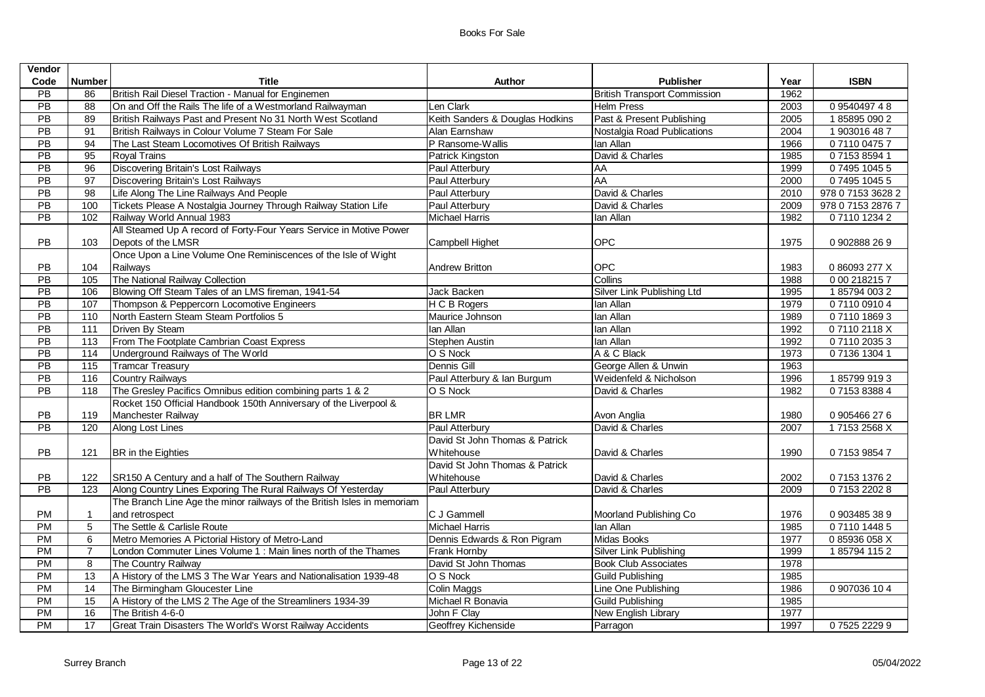| Vendor          |                   |                                                                         |                                 |                                     |      |                   |
|-----------------|-------------------|-------------------------------------------------------------------------|---------------------------------|-------------------------------------|------|-------------------|
| Code            | <b>Number</b>     | <b>Title</b>                                                            | <b>Author</b>                   | <b>Publisher</b>                    | Year | <b>ISBN</b>       |
| $\overline{PB}$ | 86                | British Rail Diesel Traction - Manual for Enginemen                     |                                 | <b>British Transport Commission</b> | 1962 |                   |
| PB              | 88                | On and Off the Rails The life of a Westmorland Railwayman               | Len Clark                       | <b>Helm Press</b>                   | 2003 | 0954049748        |
| PB              | 89                | British Railways Past and Present No 31 North West Scotland             | Keith Sanders & Douglas Hodkins | Past & Present Publishing           | 2005 | 1858950902        |
| PB              | 91                | British Railways in Colour Volume 7 Steam For Sale                      | Alan Earnshaw                   | Nostalgia Road Publications         | 2004 | 1 903016 48 7     |
| $\overline{PB}$ | $\overline{94}$   | The Last Steam Locomotives Of British Railways                          | P Ransome-Wallis                | lan Allan                           | 1966 | 0711004757        |
| PB              | 95                | <b>Royal Trains</b>                                                     | Patrick Kingston                | David & Charles                     | 1985 | 0715385941        |
| PB              | 96                | Discovering Britain's Lost Railways                                     | Paul Atterbury                  | AA                                  | 1999 | 0749510455        |
| PB              | 97                | Discovering Britain's Lost Railways                                     | Paul Atterbury                  | AA                                  | 2000 | 0749510455        |
| PB              | 98                | Life Along The Line Railways And People                                 | Paul Atterbury                  | David & Charles                     | 2010 | 978 0 7153 3628 2 |
| PB              | 100               | Tickets Please A Nostalgia Journey Through Railway Station Life         | Paul Atterbury                  | David & Charles                     | 2009 | 978 0 7153 2876 7 |
| $\overline{PB}$ | 102               | Railway World Annual 1983                                               | <b>Michael Harris</b>           | lan Allan                           | 1982 | 0711012342        |
|                 |                   | All Steamed Up A record of Forty-Four Years Service in Motive Power     |                                 |                                     |      |                   |
| PB              | 103               | Depots of the LMSR                                                      | Campbell Highet                 | OPC                                 | 1975 | 0 902888 26 9     |
|                 |                   | Once Upon a Line Volume One Reminiscences of the Isle of Wight          |                                 |                                     |      |                   |
| PB              | 104               | Railways                                                                | <b>Andrew Britton</b>           | OPC                                 | 1983 | 0 86093 277 X     |
| $\overline{PB}$ | 105               | The National Railway Collection                                         |                                 | Collins                             | 1988 | 0 00 218215 7     |
| $\overline{PB}$ | 106               | Blowing Off Steam Tales of an LMS fireman, 1941-54                      | Jack Backen                     | Silver Link Publishing Ltd          | 1995 | 1857940032        |
| PB              | 107               | Thompson & Peppercorn Locomotive Engineers                              | H C B Rogers                    | lan Allan                           | 1979 | 0711009104        |
| PB              | 110               | North Eastern Steam Steam Portfolios 5                                  | Maurice Johnson                 | lan Allan                           | 1989 | 0711018693        |
| $\overline{PB}$ | 111               | <b>Driven By Steam</b>                                                  | lan Allan                       | lan Allan                           | 1992 | 071102118X        |
| PB              | 113               | From The Footplate Cambrian Coast Express                               | Stephen Austin                  | lan Allan                           | 1992 | 0711020353        |
| PB              | $\frac{114}{114}$ | Underground Railways of The World                                       | O S Nock                        | A & C Black                         | 1973 | 0 7136 1304 1     |
| PB              | $\frac{115}{115}$ | <b>Tramcar Treasury</b>                                                 | Dennis Gill                     | George Allen & Unwin                | 1963 |                   |
| PB              | 116               | Country Railways                                                        | Paul Atterbury & Ian Burgum     | Weidenfeld & Nicholson              | 1996 | 1857999193        |
| PB              | 118               | The Gresley Pacifics Omnibus edition combining parts 1 & 2              | O S Nock                        | David & Charles                     | 1982 | 0715383884        |
|                 |                   | Rocket 150 Official Handbook 150th Anniversary of the Liverpool &       |                                 |                                     |      |                   |
| PB              | 119               | Manchester Railway                                                      | <b>BRLMR</b>                    | Avon Anglia                         | 1980 | 0 905466 276      |
| $\overline{PB}$ | 120               | Along Lost Lines                                                        | Paul Atterbury                  | David & Charles                     | 2007 | 171532568X        |
|                 |                   |                                                                         | David St John Thomas & Patrick  |                                     |      |                   |
| <b>PB</b>       | 121               | BR in the Eighties                                                      | Whitehouse                      | David & Charles                     | 1990 | 0715398547        |
|                 |                   |                                                                         | David St John Thomas & Patrick  |                                     |      |                   |
| PB              | 122               | SR150 A Century and a half of The Southern Railway                      | Whitehouse                      | David & Charles                     | 2002 | 0715313762        |
| <b>PB</b>       | 123               | Along Country Lines Exporing The Rural Railways Of Yesterday            | Paul Atterbury                  | David & Charles                     | 2009 | 0715322028        |
|                 |                   | The Branch Line Age the minor railways of the British Isles in memoriam |                                 |                                     |      |                   |
| PM              | $\overline{1}$    | and retrospect                                                          | C J Gammell                     | Moorland Publishing Co              | 1976 | 0 903485 38 9     |
| <b>PM</b>       | 5                 | The Settle & Carlisle Route                                             | <b>Michael Harris</b>           | lan Allan                           | 1985 | 0711014485        |
| <b>PM</b>       | 6                 | Metro Memories A Pictorial History of Metro-Land                        | Dennis Edwards & Ron Pigram     | Midas Books                         | 1977 | 085936058X        |
| PM              | $\overline{7}$    | London Commuter Lines Volume 1 : Main lines north of the Thames         | Frank Hornby                    | Silver Link Publishing              | 1999 | 1857941152        |
| <b>PM</b>       | 8                 | The Country Railway                                                     | David St John Thomas            | <b>Book Club Associates</b>         | 1978 |                   |
| <b>PM</b>       | 13                | A History of the LMS 3 The War Years and Nationalisation 1939-48        | O S Nock                        | <b>Guild Publishing</b>             | 1985 |                   |
| <b>PM</b>       | 14                | The Birmingham Gloucester Line                                          | Colin Maggs                     | Line One Publishing                 | 1986 | 0 907036 10 4     |
| <b>PM</b>       | 15                | A History of the LMS 2 The Age of the Streamliners 1934-39              | Michael R Bonavia               | <b>Guild Publishing</b>             | 1985 |                   |
| <b>PM</b>       | 16                | The British 4-6-0                                                       | John F Clay                     | New English Library                 | 1977 |                   |
| PM              | 17                | Great Train Disasters The World's Worst Railway Accidents               | Geoffrey Kichenside             | Parragon                            | 1997 | 0752522299        |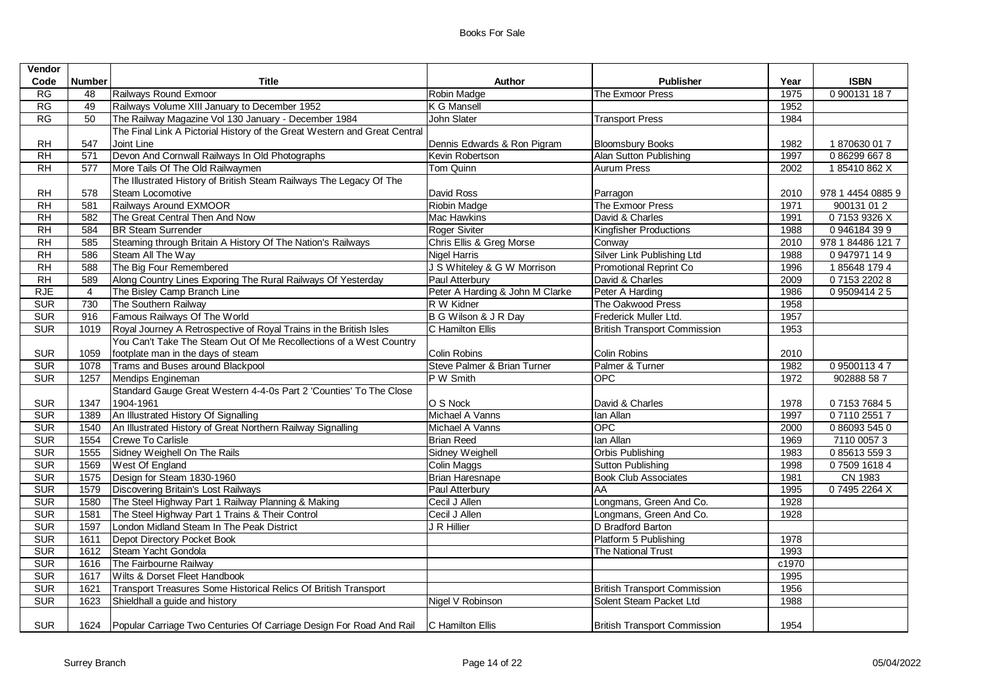| <b>Vendor</b> |                |                                                                                               |                                 |                                     |       |                   |
|---------------|----------------|-----------------------------------------------------------------------------------------------|---------------------------------|-------------------------------------|-------|-------------------|
| Code          | <b>Number</b>  | <b>Title</b>                                                                                  | Author                          | <b>Publisher</b>                    | Year  | <b>ISBN</b>       |
| RG            | 48             | Railways Round Exmoor                                                                         | Robin Madge                     | The Exmoor Press                    | 1975  | 0 900131 187      |
| RG            | 49             | Railways Volume XIII January to December 1952                                                 | K G Mansell                     |                                     | 1952  |                   |
| RG            | 50             | The Railway Magazine Vol 130 January - December 1984                                          | John Slater                     | <b>Transport Press</b>              | 1984  |                   |
|               |                | The Final Link A Pictorial History of the Great Western and Great Central                     |                                 |                                     |       |                   |
| <b>RH</b>     | 547            | Joint Line                                                                                    | Dennis Edwards & Ron Pigram     | <b>Bloomsbury Books</b>             | 1982  | 1870630017        |
| RH            | 571            | Devon And Cornwall Railways In Old Photographs                                                | Kevin Robertson                 | Alan Sutton Publishing              | 1997  | 0862996678        |
| <b>RH</b>     | 577            | More Tails Of The Old Railwaymen                                                              | Tom Quinn                       | <b>Aurum Press</b>                  | 2002  | 185410862X        |
|               |                | The Illustrated History of British Steam Railways The Legacy Of The                           |                                 |                                     |       |                   |
| RH            | 578            | Steam Locomotive                                                                              | David Ross                      | Parragon                            | 2010  | 978 1 4454 0885 9 |
| RH            | 581            | Railways Around EXMOOR                                                                        | Riobin Madge                    | The Exmoor Press                    | 1971  | 900131 01 2       |
| <b>RH</b>     | 582            | The Great Central Then And Now                                                                | <b>Mac Hawkins</b>              | David & Charles                     | 1991  | 071539326X        |
| RH            | 584            | <b>BR</b> Steam Surrender                                                                     | <b>Roger Siviter</b>            | Kingfisher Productions              | 1988  | 0946184399        |
| RH            | 585            | Steaming through Britain A History Of The Nation's Railways                                   | Chris Ellis & Greg Morse        | Conway                              | 2010  | 978 1 84486 121 7 |
| RH            | 586            | Steam All The Way                                                                             | <b>Nigel Harris</b>             | <b>Silver Link Publishing Ltd</b>   | 1988  | 0947971149        |
| RH            | 588            | The Big Four Remembered                                                                       | J S Whiteley & G W Morrison     | Promotional Reprint Co              | 1996  | 1856481794        |
| <b>RH</b>     | 589            | Along Country Lines Exporing The Rural Railways Of Yesterday                                  | Paul Atterbury                  | David & Charles                     | 2009  | 0715322028        |
| <b>RJE</b>    | $\overline{4}$ | The Bisley Camp Branch Line                                                                   | Peter A Harding & John M Clarke | Peter A Harding                     | 1986  | 0 9509414 2 5     |
| <b>SUR</b>    | 730            | The Southern Railway                                                                          | R W Kidner                      | The Oakwood Press                   | 1958  |                   |
| <b>SUR</b>    | 916            | Famous Railways Of The World                                                                  | B G Wilson & J R Day            | Frederick Muller Ltd.               | 1957  |                   |
| <b>SUR</b>    | 1019           | Royal Journey A Retrospective of Royal Trains in the British Isles                            | C Hamilton Ellis                | <b>British Transport Commission</b> | 1953  |                   |
|               |                | You Can't Take The Steam Out Of Me Recollections of a West Country                            |                                 |                                     |       |                   |
| <b>SUR</b>    | 1059           | footplate man in the days of steam                                                            | <b>Colin Robins</b>             | Colin Robins                        | 2010  |                   |
| <b>SUR</b>    | 1078           | Trams and Buses around Blackpool                                                              | Steve Palmer & Brian Turner     | Palmer & Turner                     | 1982  | 0950011347        |
| <b>SUR</b>    | 1257           | Mendips Engineman                                                                             | P W Smith                       | <b>OPC</b>                          | 1972  | 902888 58 7       |
|               |                | Standard Gauge Great Western 4-4-0s Part 2 'Counties' To The Close                            |                                 |                                     |       |                   |
| <b>SUR</b>    | 1347           | 1904-1961                                                                                     | O S Nock                        | David & Charles                     | 1978  | 0715376845        |
| <b>SUR</b>    | 1389           | An Illustrated History Of Signalling                                                          | Michael A Vanns                 | lan Allan                           | 1997  | 0711025517        |
| <b>SUR</b>    | 1540           | An Illustrated History of Great Northern Railway Signalling                                   | Michael A Vanns                 | OPC                                 | 2000  | 0860935450        |
| <b>SUR</b>    | 1554           | Crewe To Carlisle                                                                             | <b>Brian Reed</b>               | lan Allan                           | 1969  | 7110 0057 3       |
| SUR           | 1555           | Sidney Weighell On The Rails                                                                  | Sidney Weighell                 | <b>Orbis Publishing</b>             | 1983  | 0856135593        |
| <b>SUR</b>    | 1569           | West Of England                                                                               | Colin Maggs                     | Sutton Publishing                   | 1998  | 0750916184        |
| <b>SUR</b>    | 1575           | Design for Steam 1830-1960                                                                    | Brian Haresnape                 | <b>Book Club Associates</b>         | 1981  | CN 1983           |
| <b>SUR</b>    | 1579           | <b>Discovering Britain's Lost Railways</b>                                                    | Paul Atterbury                  | AA                                  | 1995  | 074952264X        |
| <b>SUR</b>    | 1580           | The Steel Highway Part 1 Railway Planning & Making                                            | Cecil J Allen                   | Longmans, Green And Co.             | 1928  |                   |
| <b>SUR</b>    | 1581           | The Steel Highway Part 1 Trains & Their Control                                               | Cecil J Allen                   | Longmans, Green And Co.             | 1928  |                   |
| <b>SUR</b>    | 1597           | London Midland Steam In The Peak District                                                     | J R Hillier                     | D Bradford Barton                   |       |                   |
| <b>SUR</b>    | 1611           | Depot Directory Pocket Book                                                                   |                                 | Platform 5 Publishing               | 1978  |                   |
| <b>SUR</b>    | 1612           | Steam Yacht Gondola                                                                           |                                 | The National Trust                  | 1993  |                   |
| <b>SUR</b>    | 1616           | The Fairbourne Railway                                                                        |                                 |                                     | c1970 |                   |
| <b>SUR</b>    | 1617           | Wilts & Dorset Fleet Handbook                                                                 |                                 |                                     | 1995  |                   |
| <b>SUR</b>    | 1621           | Transport Treasures Some Historical Relics Of British Transport                               |                                 | <b>British Transport Commission</b> | 1956  |                   |
| <b>SUR</b>    | 1623           | Shieldhall a guide and history                                                                | Nigel V Robinson                | Solent Steam Packet Ltd             | 1988  |                   |
|               |                |                                                                                               |                                 |                                     |       |                   |
| <b>SUR</b>    |                | 1624   Popular Carriage Two Centuries Of Carriage Design For Road And Rail   C Hamilton Ellis |                                 | <b>British Transport Commission</b> | 1954  |                   |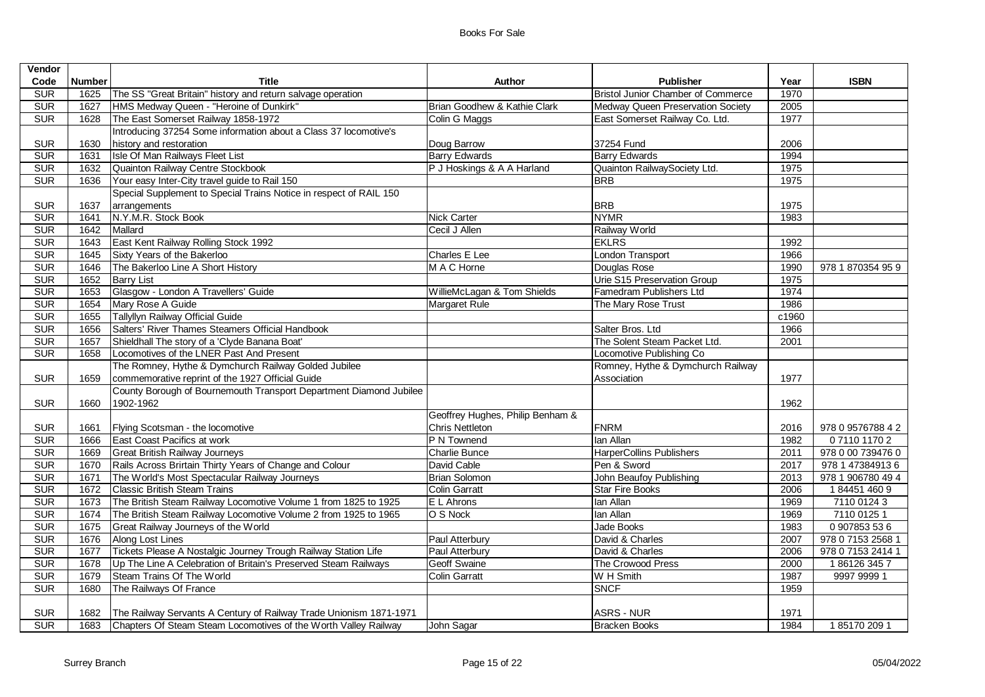| <b>ISBN</b>       |
|-------------------|
|                   |
|                   |
|                   |
|                   |
|                   |
|                   |
|                   |
|                   |
|                   |
|                   |
|                   |
|                   |
|                   |
|                   |
| 978 1 870354 95 9 |
|                   |
|                   |
|                   |
|                   |
|                   |
|                   |
|                   |
|                   |
|                   |
|                   |
|                   |
|                   |
| 978 0 9576788 4 2 |
| 0711011702        |
| 978 0 00 739476 0 |
| 978 1 47384913 6  |
| 978 1 906780 49 4 |
| 1844514609        |
| 7110 0124 3       |
| 7110 0125 1       |
| 0 907853 53 6     |
| 978 0 7153 2568 1 |
| 978 0 7153 2414 1 |
| 1861263457        |
| 9997 9999 1       |
|                   |
|                   |
|                   |
| 1851702091        |
|                   |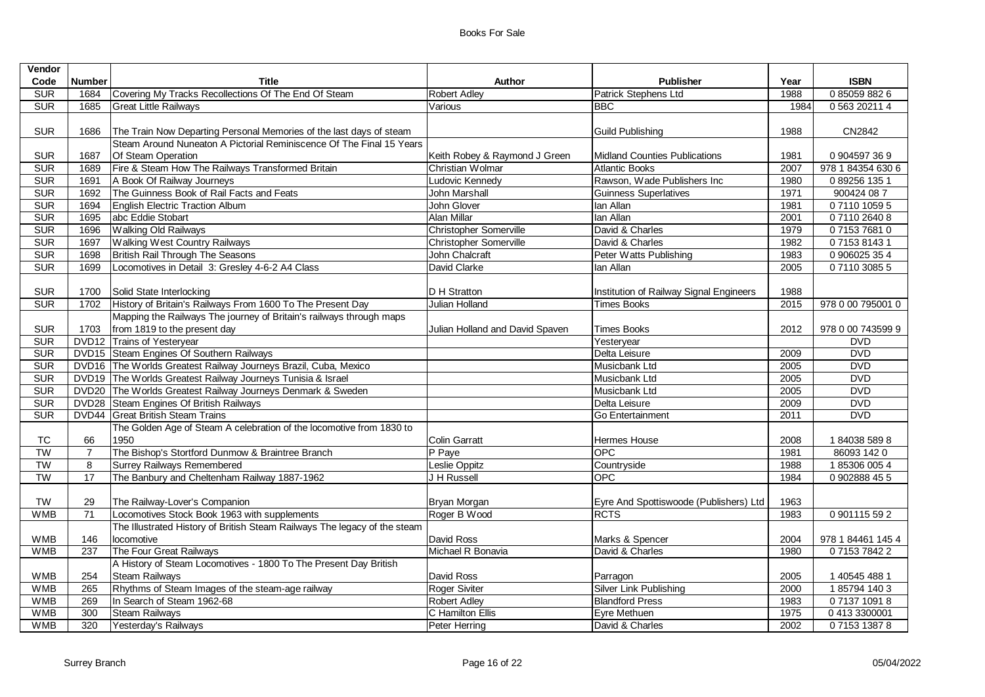| Vendor     |                |                                                                           |                                 |                                         |      |                   |
|------------|----------------|---------------------------------------------------------------------------|---------------------------------|-----------------------------------------|------|-------------------|
| Code       | <b>Number</b>  | Title                                                                     | Author                          | <b>Publisher</b>                        | Year | <b>ISBN</b>       |
| <b>SUR</b> | 1684           | Covering My Tracks Recollections Of The End Of Steam                      | Robert Adley                    | Patrick Stephens Ltd                    | 1988 | 0850598826        |
| <b>SUR</b> | 1685           | <b>Great Little Railways</b>                                              | Various                         | BBC.                                    | 1984 | 0 563 20211 4     |
|            |                |                                                                           |                                 |                                         |      |                   |
| <b>SUR</b> | 1686           | The Train Now Departing Personal Memories of the last days of steam       |                                 | <b>Guild Publishing</b>                 | 1988 | CN2842            |
|            |                | Steam Around Nuneaton A Pictorial Reminiscence Of The Final 15 Years      |                                 |                                         |      |                   |
| <b>SUR</b> | 1687           | Of Steam Operation                                                        | Keith Robey & Raymond J Green   | <b>Midland Counties Publications</b>    | 1981 | 0 904597 36 9     |
| <b>SUR</b> | 1689           | Fire & Steam How The Railways Transformed Britain                         | Christian Wolmar                | <b>Atlantic Books</b>                   | 2007 | 978 1 84354 630 6 |
| <b>SUR</b> | 1691           | A Book Of Railway Journeys                                                | Ludovic Kennedy                 | Rawson, Wade Publishers Inc             | 1980 | 0892561351        |
| <b>SUR</b> | 1692           | The Guinness Book of Rail Facts and Feats                                 | <b>John Marshall</b>            | <b>Guinness Superlatives</b>            | 1971 | 900424 08 7       |
| <b>SUR</b> | 1694           | English Electric Traction Album                                           | John Glover                     | lan Allan                               | 1981 | 0711010595        |
| SUR        | 1695           | abc Eddie Stobart                                                         | Alan Millar                     | lan Allan                               | 2001 | 0711026408        |
| <b>SUR</b> | 1696           | <b>Walking Old Railways</b>                                               | <b>Christopher Somerville</b>   | David & Charles                         | 1979 | 0715376810        |
| <b>SUR</b> | 1697           | <b>Walking West Country Railways</b>                                      | <b>Christopher Somerville</b>   | David & Charles                         | 1982 | 0715381431        |
| <b>SUR</b> | 1698           | British Rail Through The Seasons                                          | John Chalcraft                  | Peter Watts Publishing                  | 1983 | 0 906025 35 4     |
| <b>SUR</b> | 1699           | Locomotives in Detail 3: Gresley 4-6-2 A4 Class                           | David Clarke                    | lan Allan                               | 2005 | 0711030855        |
|            |                |                                                                           |                                 |                                         |      |                   |
| <b>SUR</b> |                | 1700 Solid State Interlocking                                             | D H Stratton                    | Institution of Railway Signal Engineers | 1988 |                   |
| <b>SUR</b> | 1702           | History of Britain's Railways From 1600 To The Present Day                | Julian Holland                  | Times Books                             | 2015 | 978 0 00 795001 0 |
|            |                | Mapping the Railways The journey of Britain's railways through maps       |                                 |                                         |      |                   |
| <b>SUR</b> | 1703           | from 1819 to the present day                                              | Julian Holland and David Spaven | <b>Times Books</b>                      | 2012 | 978 0 00 743599 9 |
| <b>SUR</b> |                | DVD12 Trains of Yesteryear                                                |                                 | Yesteryear                              |      | <b>DVD</b>        |
| <b>SUR</b> |                | DVD15 Steam Engines Of Southern Railways                                  |                                 | Delta Leisure                           | 2009 | <b>DVD</b>        |
| <b>SUR</b> |                | DVD16 The Worlds Greatest Railway Journeys Brazil, Cuba, Mexico           |                                 | Musicbank Ltd                           | 2005 | <b>DVD</b>        |
| <b>SUR</b> |                | DVD19 The Worlds Greatest Railway Journeys Tunisia & Israel               |                                 | Musicbank Ltd                           | 2005 | <b>DVD</b>        |
| <b>SUR</b> |                | DVD20 The Worlds Greatest Railway Journeys Denmark & Sweden               |                                 | Musicbank Ltd                           | 2005 | <b>DVD</b>        |
| <b>SUR</b> |                | DVD28 Steam Engines Of British Railways                                   |                                 | Delta Leisure                           | 2009 | <b>DVD</b>        |
| <b>SUR</b> |                | DVD44 Great British Steam Trains                                          |                                 | Go Entertainment                        | 2011 | <b>DVD</b>        |
|            |                | The Golden Age of Steam A celebration of the locomotive from 1830 to      |                                 |                                         |      |                   |
| TC         | 66             | 1950                                                                      | <b>Colin Garratt</b>            | Hermes House                            | 2008 | 1840385898        |
| <b>TW</b>  | $\overline{7}$ | The Bishop's Stortford Dunmow & Braintree Branch                          | P Paye                          | OPC                                     | 1981 | 86093 142 0       |
| <b>TW</b>  | 8              | <b>Surrey Railways Remembered</b>                                         | Leslie Oppitz                   | Countryside                             | 1988 | 1853060054        |
| <b>TW</b>  | 17             | The Banbury and Cheltenham Railway 1887-1962                              | J H Russell                     | OPC                                     | 1984 | 0 902888 45 5     |
|            |                |                                                                           |                                 |                                         |      |                   |
| <b>TW</b>  | 29             | The Railway-Lover's Companion                                             | Bryan Morgan                    | Eyre And Spottiswoode (Publishers) Ltd  | 1963 |                   |
| <b>WMB</b> | 71             | Locomotives Stock Book 1963 with supplements                              | Roger B Wood                    | <b>RCTS</b>                             | 1983 | 0 901115 59 2     |
|            |                | The Illustrated History of British Steam Railways The legacy of the steam |                                 |                                         |      |                   |
| <b>WMB</b> | 146            | locomotive                                                                | David Ross                      | Marks & Spencer                         | 2004 | 978 1 84461 145 4 |
| <b>WMB</b> | 237            | The Four Great Railways                                                   | Michael R Bonavia               | David & Charles                         | 1980 | 0715378422        |
|            |                | A History of Steam Locomotives - 1800 To The Present Day British          |                                 |                                         |      |                   |
| <b>WMB</b> | 254            | <b>Steam Railways</b>                                                     | David Ross                      | Parragon                                | 2005 | 1 40545 488 1     |
| <b>WMB</b> | 265            | Rhythms of Steam Images of the steam-age railway                          | <b>Roger Siviter</b>            | Silver Link Publishing                  | 2000 | 1857941403        |
| <b>WMB</b> | 269            | In Search of Steam 1962-68                                                | <b>Robert Adley</b>             | <b>Blandford Press</b>                  | 1983 | 0713710918        |
| <b>WMB</b> | 300            | <b>Steam Railways</b>                                                     | C Hamilton Ellis                | Eyre Methuen                            | 1975 | 04133300001       |
| <b>WMB</b> | 320            | Yesterday's Railways                                                      | Peter Herring                   | David & Charles                         | 2002 | 0715313878        |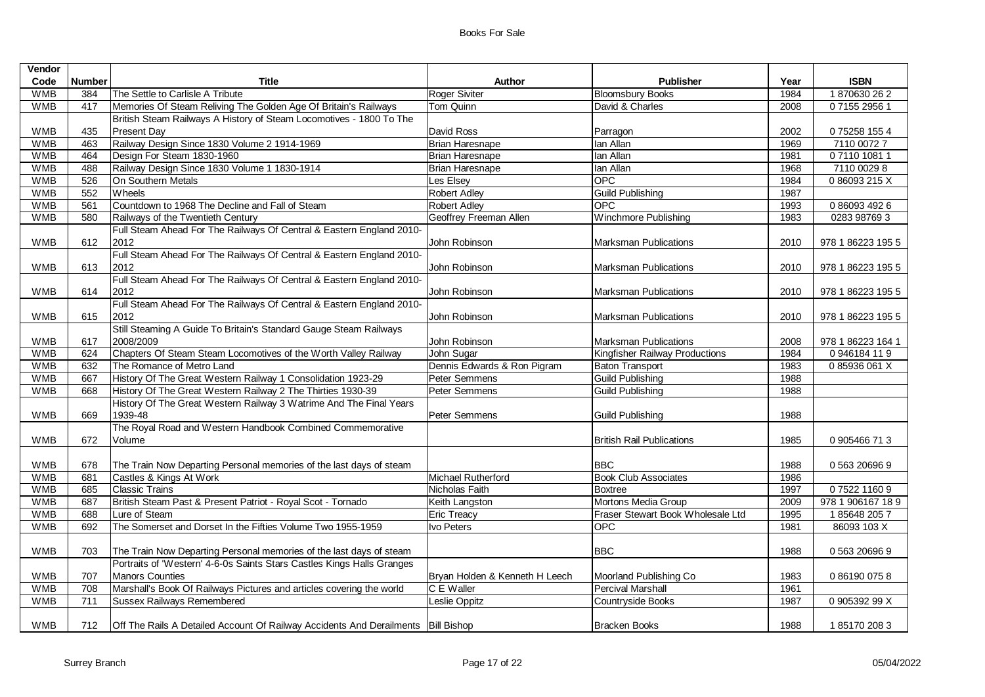| Vendor     |                 |                                                                                     |                                |                                   |      |                   |
|------------|-----------------|-------------------------------------------------------------------------------------|--------------------------------|-----------------------------------|------|-------------------|
| Code       | <b>Number</b>   | Title                                                                               | Author                         | <b>Publisher</b>                  | Year | <b>ISBN</b>       |
| <b>WMB</b> | 384             | The Settle to Carlisle A Tribute                                                    | Roger Siviter                  | <b>Bloomsbury Books</b>           | 1984 | 1870630262        |
| <b>WMB</b> | 417             | Memories Of Steam Reliving The Golden Age Of Britain's Railways                     | Tom Quinn                      | David & Charles                   | 2008 | 07155 2956 1      |
|            |                 | British Steam Railways A History of Steam Locomotives - 1800 To The                 |                                |                                   |      |                   |
| <b>WMB</b> | 435             | <b>Present Day</b>                                                                  | David Ross                     | Parragon                          | 2002 | 075258 1554       |
| <b>WMB</b> | 463             | Railway Design Since 1830 Volume 2 1914-1969                                        | Brian Haresnape                | lan Allan                         | 1969 | 7110 0072 7       |
| <b>WMB</b> | 464             | Design For Steam 1830-1960                                                          | Brian Haresnape                | lan Allan                         | 1981 | 0711010811        |
| <b>WMB</b> | 488             | Railway Design Since 1830 Volume 1 1830-1914                                        | <b>Brian Haresnape</b>         | lan Allan                         | 1968 | 7110 0029 8       |
| <b>WMB</b> | 526             | On Southern Metals                                                                  | Les Elsey                      | OPC                               | 1984 | 086093215X        |
| <b>WMB</b> | 552             | Wheels                                                                              | <b>Robert Adley</b>            | <b>Guild Publishing</b>           | 1987 |                   |
| <b>WMB</b> | 561             | Countdown to 1968 The Decline and Fall of Steam                                     | <b>Robert Adley</b>            | <b>OPC</b>                        | 1993 | 0 86093 492 6     |
| <b>WMB</b> | 580             | Railways of the Twentieth Century                                                   | Geoffrey Freeman Allen         | Winchmore Publishing              | 1983 | 0283 98769 3      |
|            |                 | Full Steam Ahead For The Railways Of Central & Eastern England 2010-                |                                |                                   |      |                   |
| <b>WMB</b> | 612             | 2012                                                                                | John Robinson                  | <b>Marksman Publications</b>      | 2010 | 978 1 86223 195 5 |
|            |                 | Full Steam Ahead For The Railways Of Central & Eastern England 2010-                |                                |                                   |      |                   |
| <b>WMB</b> | 613             | 2012                                                                                | John Robinson                  | <b>Marksman Publications</b>      | 2010 | 978 1 86223 195 5 |
|            |                 | Full Steam Ahead For The Railways Of Central & Eastern England 2010-                |                                |                                   |      |                   |
| <b>WMB</b> | 614             | 2012                                                                                | John Robinson                  | <b>Marksman Publications</b>      | 2010 | 978 1 86223 195 5 |
|            |                 | Full Steam Ahead For The Railways Of Central & Eastern England 2010-                |                                |                                   |      |                   |
| <b>WMB</b> | 615             | 2012                                                                                | John Robinson                  | <b>Marksman Publications</b>      | 2010 | 978 1 86223 195 5 |
|            |                 | Still Steaming A Guide To Britain's Standard Gauge Steam Railways                   |                                |                                   |      |                   |
| <b>WMB</b> | 617             | 2008/2009                                                                           | John Robinson                  | <b>Marksman Publications</b>      | 2008 | 978 1 86223 164 1 |
| <b>WMB</b> | 624             | Chapters Of Steam Steam Locomotives of the Worth Valley Railway                     | John Sugar                     | Kingfisher Railway Productions    | 1984 | 0946184119        |
| <b>WMB</b> | 632             | The Romance of Metro Land                                                           | Dennis Edwards & Ron Pigram    | <b>Baton Transport</b>            | 1983 | 085936061X        |
| <b>WMB</b> | 667             | History Of The Great Western Railway 1 Consolidation 1923-29                        | Peter Semmens                  | <b>Guild Publishing</b>           | 1988 |                   |
| <b>WMB</b> | 668             | History Of The Great Western Railway 2 The Thirties 1930-39                         | Peter Semmens                  | <b>Guild Publishing</b>           | 1988 |                   |
|            |                 | History Of The Great Western Railway 3 Watrime And The Final Years                  |                                |                                   |      |                   |
| <b>WMB</b> | 669             | 1939-48                                                                             | Peter Semmens                  | <b>Guild Publishing</b>           | 1988 |                   |
|            |                 | The Royal Road and Western Handbook Combined Commemorative                          |                                |                                   |      |                   |
| <b>WMB</b> | 672             | Volume                                                                              |                                | <b>British Rail Publications</b>  | 1985 | 0 905466 71 3     |
|            |                 |                                                                                     |                                |                                   |      |                   |
| <b>WMB</b> | 678             | The Train Now Departing Personal memories of the last days of steam                 |                                | <b>BBC</b>                        | 1988 | 0 563 20696 9     |
| <b>WMB</b> | 681             | Castles & Kings At Work                                                             | Michael Rutherford             | <b>Book Club Associates</b>       | 1986 |                   |
| <b>WMB</b> | 685             | <b>Classic Trains</b>                                                               | Nicholas Faith                 | Boxtree                           | 1997 | 0752211609        |
| <b>WMB</b> | 687             | British Steam Past & Present Patriot - Royal Scot - Tornado                         | Keith Langston                 | Mortons Media Group               | 2009 | 978 1 906167 18 9 |
| <b>WMB</b> | 688             | Lure of Steam                                                                       | <b>Eric Treacy</b>             | Fraser Stewart Book Wholesale Ltd | 1995 | 1856482057        |
| <b>WMB</b> | 692             | The Somerset and Dorset In the Fifties Volume Two 1955-1959                         | <b>Ivo Peters</b>              | <b>OPC</b>                        | 1981 | 86093 103 X       |
|            |                 |                                                                                     |                                |                                   |      |                   |
| <b>WMB</b> | 703             | The Train Now Departing Personal memories of the last days of steam                 |                                | <b>BBC</b>                        | 1988 | 0 563 20696 9     |
|            |                 | Portraits of 'Western' 4-6-0s Saints Stars Castles Kings Halls Granges              |                                |                                   |      |                   |
| <b>WMB</b> | 707             | <b>Manors Counties</b>                                                              | Bryan Holden & Kenneth H Leech | Moorland Publishing Co            | 1983 | 0 86190 075 8     |
| <b>WMB</b> | 708             | Marshall's Book Of Railways Pictures and articles covering the world                | C E Waller                     | <b>Percival Marshall</b>          | 1961 |                   |
| <b>WMB</b> | $\frac{1}{711}$ | <b>Sussex Railways Remembered</b>                                                   | <b>Leslie Oppitz</b>           | Countryside Books                 | 1987 | 0 905392 99 X     |
|            |                 |                                                                                     |                                |                                   |      |                   |
| <b>WMB</b> | 712             | Off The Rails A Detailed Account Of Railway Accidents And Derailments   Bill Bishop |                                | <b>Bracken Books</b>              | 1988 | 1851702083        |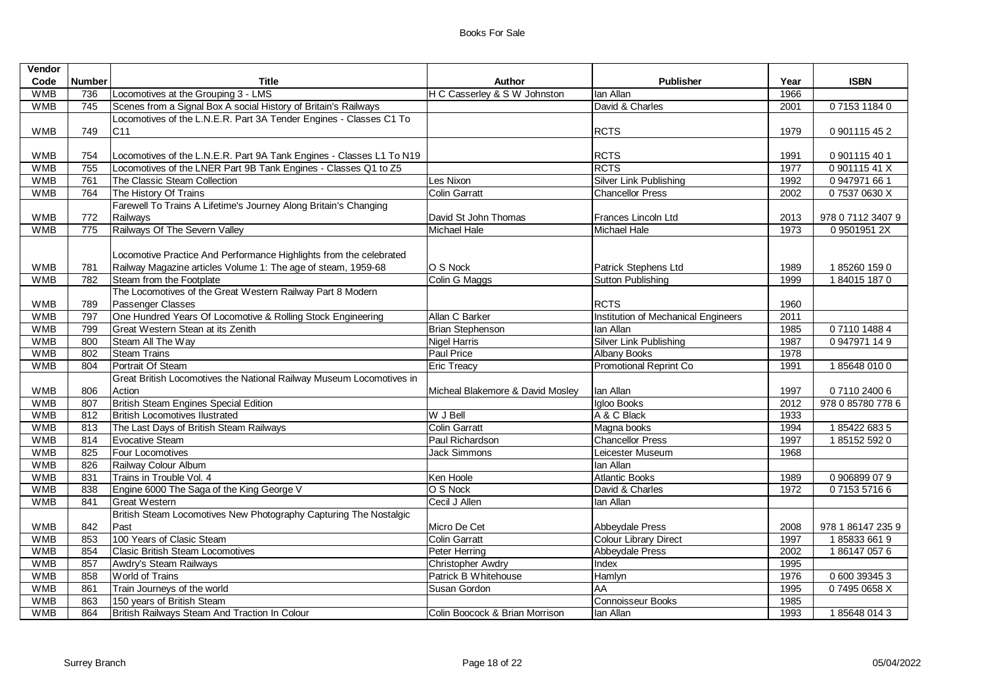| Vendor     |               |                                                                      |                                  |                                     |      |                   |
|------------|---------------|----------------------------------------------------------------------|----------------------------------|-------------------------------------|------|-------------------|
| Code       | <b>Number</b> | Title                                                                | Author                           | <b>Publisher</b>                    | Year | <b>ISBN</b>       |
| <b>WMB</b> | 736           | Locomotives at the Grouping 3 - LMS                                  | H C Casserley & S W Johnston     | lan Allan                           | 1966 |                   |
| <b>WMB</b> | 745           | Scenes from a Signal Box A social History of Britain's Railways      |                                  | David & Charles                     | 2001 | 0715311840        |
|            |               | Locomotives of the L.N.E.R. Part 3A Tender Engines - Classes C1 To   |                                  |                                     |      |                   |
| <b>WMB</b> | 749           | C <sub>11</sub>                                                      |                                  | <b>RCTS</b>                         | 1979 | 0 901115 45 2     |
|            |               |                                                                      |                                  |                                     |      |                   |
| <b>WMB</b> | 754           | Locomotives of the L.N.E.R. Part 9A Tank Engines - Classes L1 To N19 |                                  | <b>RCTS</b>                         | 1991 | 0 901115 40 1     |
| <b>WMB</b> | 755           | Locomotives of the LNER Part 9B Tank Engines - Classes Q1 to Z5      |                                  | <b>RCTS</b>                         | 1977 | 0 901115 41 X     |
| <b>WMB</b> | 761           | The Classic Steam Collection                                         | Les Nixon                        | Silver Link Publishing              | 1992 | 0 947971 66 1     |
| <b>WMB</b> | 764           | The History Of Trains                                                | <b>Colin Garratt</b>             | <b>Chancellor Press</b>             | 2002 | 075370630X        |
|            |               | Farewell To Trains A Lifetime's Journey Along Britain's Changing     |                                  |                                     |      |                   |
| <b>WMB</b> | 772           | Railways                                                             | David St John Thomas             | Frances Lincoln Ltd                 | 2013 | 978 0 7112 3407 9 |
| <b>WMB</b> | 775           | Railways Of The Severn Valley                                        | Michael Hale                     | <b>Michael Hale</b>                 | 1973 | 0 9501951 2X      |
|            |               |                                                                      |                                  |                                     |      |                   |
|            |               | Locomotive Practice And Performance Highlights from the celebrated   |                                  |                                     |      |                   |
| <b>WMB</b> | 781           | Railway Magazine articles Volume 1: The age of steam, 1959-68        | O S Nock                         | Patrick Stephens Ltd                | 1989 | 1852601590        |
| <b>WMB</b> | 782           | Steam from the Footplate                                             | Colin G Maggs                    | <b>Sutton Publishing</b>            | 1999 | 1840151870        |
|            |               | The Locomotives of the Great Western Railway Part 8 Modern           |                                  |                                     |      |                   |
| <b>WMB</b> | 789           | Passenger Classes                                                    |                                  | <b>RCTS</b>                         | 1960 |                   |
| <b>WMB</b> | 797           | One Hundred Years Of Locomotive & Rolling Stock Engineering          | Allan C Barker                   | Institution of Mechanical Engineers | 2011 |                   |
| <b>WMB</b> | 799           | Great Western Stean at its Zenith                                    | <b>Brian Stephenson</b>          | lan Allan                           | 1985 | 0711014884        |
| <b>WMB</b> | 800           | Steam All The Way                                                    | <b>Nigel Harris</b>              | Silver Link Publishing              | 1987 | 0947971149        |
| <b>WMB</b> | 802           | <b>Steam Trains</b>                                                  | Paul Price                       | <b>Albany Books</b>                 | 1978 |                   |
| <b>WMB</b> | 804           | Portrait Of Steam                                                    | <b>Eric Treacy</b>               | Promotional Reprint Co              | 1991 | 1856480100        |
|            |               | Great British Locomotives the National Railway Museum Locomotives in |                                  |                                     |      |                   |
| <b>WMB</b> | 806           | Action                                                               | Micheal Blakemore & David Mosley | lan Allan                           | 1997 | 0 7110 2400 6     |
| <b>WMB</b> | 807           | British Steam Engines Special Edition                                |                                  | Igloo Books                         | 2012 | 978 0 85780 778 6 |
| <b>WMB</b> | 812           | <b>British Locomotives Ilustrated</b>                                | W J Bell                         | A & C Black                         | 1933 |                   |
| <b>WMB</b> | 813           | The Last Days of British Steam Railways                              | <b>Colin Garratt</b>             | Magna books                         | 1994 | 1854226835        |
| <b>WMB</b> | 814           | <b>Evocative Steam</b>                                               | Paul Richardson                  | <b>Chancellor Press</b>             | 1997 | 1851525920        |
| <b>WMB</b> | 825           | <b>Four Locomotives</b>                                              | <b>Jack Simmons</b>              | Leicester Museum                    | 1968 |                   |
| <b>WMB</b> | 826           | Railway Colour Album                                                 |                                  | lan Allan                           |      |                   |
| <b>WMB</b> | 831           | Trains in Trouble Vol. 4                                             | Ken Hoole                        | <b>Atlantic Books</b>               | 1989 | 0 906899 07 9     |
| <b>WMB</b> | 838           | Engine 6000 The Saga of the King George V                            | O S Nock                         | David & Charles                     | 1972 | 0715357166        |
| <b>WMB</b> | 841           | <b>Great Western</b>                                                 | Cecil J Allen                    | lan Allan                           |      |                   |
|            |               | British Steam Locomotives New Photography Capturing The Nostalgic    |                                  |                                     |      |                   |
| <b>WMB</b> | 842           | Past                                                                 | Micro De Cet                     | Abbeydale Press                     | 2008 | 978 1 86147 235 9 |
| <b>WMB</b> | 853           | 100 Years of Clasic Steam                                            | <b>Colin Garratt</b>             | <b>Colour Library Direct</b>        | 1997 | 1858336619        |
| <b>WMB</b> | 854           | <b>Clasic British Steam Locomotives</b>                              | Peter Herring                    | <b>Abbeydale Press</b>              | 2002 | 1861470576        |
| <b>WMB</b> | 857           | Awdry's Steam Railways                                               | <b>Christopher Awdry</b>         | Index                               | 1995 |                   |
| <b>WMB</b> | 858           | <b>World of Trains</b>                                               | Patrick B Whitehouse             | Hamlyn                              | 1976 | 0 600 39345 3     |
| <b>WMB</b> | 861           | Train Journeys of the world                                          | Susan Gordon                     | $\overline{AA}$                     | 1995 | 074950658X        |
| <b>WMB</b> | 863           | 150 years of British Steam                                           |                                  | Connoisseur Books                   | 1985 |                   |
| <b>WMB</b> | 864           | British Railways Steam And Traction In Colour                        | Colin Boocock & Brian Morrison   | lan Allan                           | 1993 | 1856480143        |
|            |               |                                                                      |                                  |                                     |      |                   |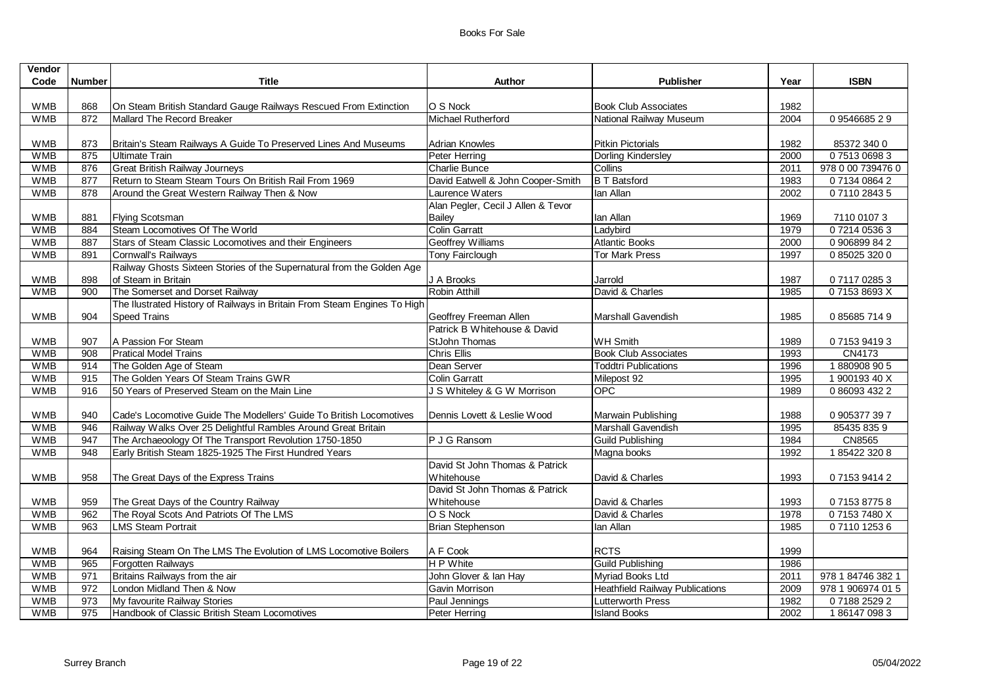| Vendor           |               |                                                                          |                                    |                                        |      |                   |
|------------------|---------------|--------------------------------------------------------------------------|------------------------------------|----------------------------------------|------|-------------------|
| Code             | <b>Number</b> | <b>Title</b>                                                             | Author                             | <b>Publisher</b>                       | Year | <b>ISBN</b>       |
|                  |               |                                                                          |                                    |                                        |      |                   |
| <b>WMB</b>       | 868           | On Steam British Standard Gauge Railways Rescued From Extinction         | O S Nock                           | <b>Book Club Associates</b>            | 1982 |                   |
| <b>WMB</b>       | 872           | Mallard The Record Breaker                                               | Michael Rutherford                 | National Railway Museum                | 2004 | 0954668529        |
|                  |               |                                                                          |                                    |                                        |      |                   |
| <b>WMB</b>       | 873           | Britain's Steam Railways A Guide To Preserved Lines And Museums          | <b>Adrian Knowles</b>              | <b>Pitkin Pictorials</b>               | 1982 | 85372 340 0       |
| <b>WMB</b>       | 875           | <b>Ultimate Train</b>                                                    | Peter Herring                      | <b>Dorling Kindersley</b>              | 2000 | 0751306983        |
| <b>WMB</b>       | 876           | <b>Great British Railway Journeys</b>                                    | Charlie Bunce                      | Collins                                | 2011 | 978 0 00 739476 0 |
| <b>WMB</b>       | 877           | Return to Steam Steam Tours On British Rail From 1969                    | David Eatwell & John Cooper-Smith  | <b>B T Batsford</b>                    | 1983 | 0 7134 0864 2     |
| <b>WMB</b>       | 878           | Around the Great Western Railway Then & Now                              | Laurence Waters                    | lan Allan                              | 2002 | 0711028435        |
|                  |               |                                                                          | Alan Pegler, Cecil J Allen & Tevor |                                        |      |                   |
| <b>WMB</b>       | 881           | <b>Flying Scotsman</b>                                                   | Bailey                             | lan Allan                              | 1969 | 7110 01073        |
| <b>WMB</b>       | 884           | Steam Locomotives Of The World                                           | <b>Colin Garratt</b>               | Ladybird                               | 1979 | 07214 05363       |
| <b>WMB</b>       | 887           | Stars of Steam Classic Locomotives and their Engineers                   | Geoffrey Williams                  | <b>Atlantic Books</b>                  | 2000 | 0 906899 84 2     |
| <b>WMB</b>       | 891           | Cornwall's Railways                                                      | Tony Fairclough                    | <b>Tor Mark Press</b>                  | 1997 | 0 85025 320 0     |
|                  |               | Railway Ghosts Sixteen Stories of the Supernatural from the Golden Age   |                                    |                                        |      |                   |
| <b>WMB</b>       | 898           | of Steam in Britain                                                      | J A Brooks                         | Jarrold                                | 1987 | 0711702853        |
| <b>WMB</b>       | 900           | The Somerset and Dorset Railway                                          | Robin Atthill                      | David & Charles                        | 1985 | 071538693X        |
|                  |               | The Ilustrated History of Railways in Britain From Steam Engines To High |                                    |                                        |      |                   |
| <b>WMB</b>       | 904           | <b>Speed Trains</b>                                                      | Geoffrey Freeman Allen             | <b>Marshall Gavendish</b>              | 1985 | 0856857149        |
|                  |               |                                                                          | Patrick B Whitehouse & David       |                                        |      |                   |
| <b>WMB</b>       | 907           | A Passion For Steam                                                      | <b>StJohn Thomas</b>               | <b>WH Smith</b>                        | 1989 | 0715394193        |
| <b>WMB</b>       | 908           | <b>Pratical Model Trains</b>                                             | <b>Chris Ellis</b>                 | <b>Book Club Associates</b>            | 1993 | CN4173            |
| <b>WMB</b>       | 914           | The Golden Age of Steam                                                  | Dean Server                        | <b>Toddtri Publications</b>            | 1996 | 1880908905        |
| <b>WMB</b>       | 915           | The Golden Years Of Steam Trains GWR                                     | Colin Garratt                      | Milepost 92                            | 1995 | 1 900193 40 X     |
| <b>WMB</b>       | 916           | 50 Years of Preserved Steam on the Main Line                             | J S Whiteley & G W Morrison        | OPC                                    | 1989 | 0 86093 432 2     |
|                  |               |                                                                          |                                    |                                        |      |                   |
| <b>WMB</b>       | 940           | Cade's Locomotive Guide The Modellers' Guide To British Locomotives      | Dennis Lovett & Leslie Wood        | Marwain Publishing                     | 1988 | 0 905377 397      |
| <b>WMB</b>       | 946           | Railway Walks Over 25 Delightful Rambles Around Great Britain            |                                    | Marshall Gavendish                     | 1995 | 85435 835 9       |
| <b>WMB</b>       | 947           | The Archaeoology Of The Transport Revolution 1750-1850                   | P J G Ransom                       | <b>Guild Publishing</b>                | 1984 | <b>CN8565</b>     |
| <b>WMB</b>       | 948           | Early British Steam 1825-1925 The First Hundred Years                    |                                    | Magna books                            | 1992 | 1854223208        |
|                  |               |                                                                          | David St John Thomas & Patrick     |                                        |      |                   |
| <b>WMB</b>       | 958           | The Great Days of the Express Trains                                     | Whitehouse                         | David & Charles                        | 1993 | 0715394142        |
|                  |               |                                                                          | David St John Thomas & Patrick     |                                        |      |                   |
| <b>WMB</b>       | 959           | The Great Days of the Country Railway                                    | <b>Whitehouse</b>                  | David & Charles                        | 1993 | 0715387758        |
| <b>WMB</b>       | 962           | The Royal Scots And Patriots Of The LMS                                  | O S Nock                           | David & Charles                        | 1978 | 071537480X        |
| <b>WMB</b>       | 963           | <b>LMS Steam Portrait</b>                                                | <b>Brian Stephenson</b>            | lan Allan                              | 1985 | 0711012536        |
|                  |               |                                                                          |                                    |                                        |      |                   |
| <b>WMB</b>       | 964           | Raising Steam On The LMS The Evolution of LMS Locomotive Boilers         | A F Cook                           | <b>RCTS</b>                            | 1999 |                   |
| <b>WMB</b>       | 965           | Forgotten Railways                                                       | H P White                          | <b>Guild Publishing</b>                | 1986 |                   |
| <b>WMB</b>       | 971           | Britains Railways from the air                                           | John Glover & Ian Hay              | Myriad Books Ltd                       | 2011 | 978 1 84746 382 1 |
| <b>WMB</b>       | 972           | London Midland Then & Now                                                | <b>Gavin Morrison</b>              | <b>Heathfield Railway Publications</b> | 2009 | 978 1 906974 01 5 |
| <b>WMB</b>       | 973           | My favourite Railway Stories                                             | Paul Jennings                      | <b>Lutterworth Press</b>               | 1982 | 0718825292        |
| $W\overline{MB}$ | 975           | Handbook of Classic British Steam Locomotives                            | Peter Herring                      | <b>Island Books</b>                    | 2002 | 1861470983        |
|                  |               |                                                                          |                                    |                                        |      |                   |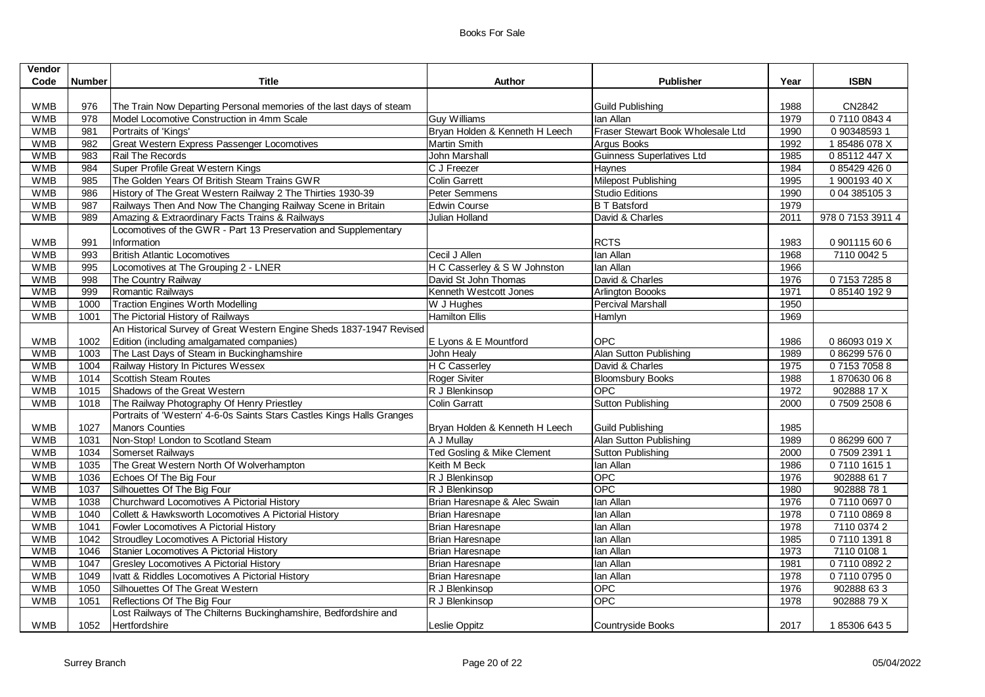| Vendor     |                  |                                                                        |                                |                                   |      |                   |
|------------|------------------|------------------------------------------------------------------------|--------------------------------|-----------------------------------|------|-------------------|
| Code       | <b>Number</b>    | <b>Title</b>                                                           | Author                         | <b>Publisher</b>                  | Year | <b>ISBN</b>       |
|            |                  |                                                                        |                                |                                   |      |                   |
| <b>WMB</b> | 976              | The Train Now Departing Personal memories of the last days of steam    |                                | <b>Guild Publishing</b>           | 1988 | CN2842            |
| <b>WMB</b> | 978              | Model Locomotive Construction in 4mm Scale                             | <b>Guy Williams</b>            | lan Allan                         | 1979 | 0711008434        |
| <b>WMB</b> | 981              | Portraits of 'Kings'                                                   | Bryan Holden & Kenneth H Leech | Fraser Stewart Book Wholesale Ltd | 1990 | 0 90348593 1      |
| <b>WMB</b> | 982              | Great Western Express Passenger Locomotives                            | <b>Martin Smith</b>            | Argus Books                       | 1992 | 185486078X        |
| <b>WMB</b> | 983              | Rail The Records                                                       | John Marshall                  | <b>Guinness Superlatives Ltd</b>  | 1985 | 085112447X        |
| <b>WMB</b> | 984              | Super Profile Great Western Kings                                      | C J Freezer                    | Haynes                            | 1984 | 0854294260        |
| <b>WMB</b> | 985              | The Golden Years Of British Steam Trains GWR                           | <b>Colin Garrett</b>           | Milepost Publishing               | 1995 | 1 900193 40 X     |
| <b>WMB</b> | 986              | History of The Great Western Railway 2 The Thirties 1930-39            | Peter Semmens                  | <b>Studio Editions</b>            | 1990 | 0 04 385105 3     |
| <b>WMB</b> | $\overline{987}$ | Railways Then And Now The Changing Railway Scene in Britain            | <b>Edwin Course</b>            | <b>B T Batsford</b>               | 1979 |                   |
| <b>WMB</b> | 989              | Amazing & Extraordinary Facts Trains & Railways                        | Julian Holland                 | David & Charles                   | 2011 | 978 0 7153 3911 4 |
|            |                  | Locomotives of the GWR - Part 13 Preservation and Supplementary        |                                |                                   |      |                   |
| <b>WMB</b> | 991              | Information                                                            |                                | <b>RCTS</b>                       | 1983 | 0901115606        |
| <b>WMB</b> | 993              | <b>British Atlantic Locomotives</b>                                    | Cecil J Allen                  | lan Allan                         | 1968 | 7110 0042 5       |
| <b>WMB</b> | 995              | Locomotives at The Grouping 2 - LNER                                   | H C Casserley & S W Johnston   | lan Allan                         | 1966 |                   |
| <b>WMB</b> | 998              | The Country Railway                                                    | David St John Thomas           | David & Charles                   | 1976 | 0715372858        |
| <b>WMB</b> | 999              | Romantic Railways                                                      | Kenneth Westcott Jones         | Arlington Boooks                  | 1971 | 0851401929        |
| <b>WMB</b> | 1000             | <b>Traction Engines Worth Modelling</b>                                | W J Hughes                     | <b>Percival Marshall</b>          | 1950 |                   |
| <b>WMB</b> | 1001             | The Pictorial History of Railways                                      | <b>Hamilton Ellis</b>          | Hamlyn                            | 1969 |                   |
|            |                  | An Historical Survey of Great Western Engine Sheds 1837-1947 Revised   |                                |                                   |      |                   |
| <b>WMB</b> | 1002             | Edition (including amalgamated companies)                              | E Lyons & E Mountford          | <b>OPC</b>                        | 1986 | 086093019X        |
| <b>WMB</b> | 1003             | The Last Days of Steam in Buckinghamshire                              | John Healy                     | Alan Sutton Publishing            | 1989 | 0862995760        |
| <b>WMB</b> | 1004             | Railway History In Pictures Wessex                                     | H C Casserley                  | David & Charles                   | 1975 | 0715370588        |
| <b>WMB</b> | 1014             | <b>Scottish Steam Routes</b>                                           | Roger Siviter                  | <b>Bloomsbury Books</b>           | 1988 | 1870630068        |
| <b>WMB</b> | 1015             | Shadows of the Great Western                                           | R J Blenkinsop                 | OPC                               | 1972 | 902888 17 X       |
| <b>WMB</b> | 1018             | The Railway Photography Of Henry Priestley                             | <b>Colin Garratt</b>           | <b>Sutton Publishing</b>          | 2000 | 0750925086        |
|            |                  | Portraits of 'Western' 4-6-0s Saints Stars Castles Kings Halls Granges |                                |                                   |      |                   |
| <b>WMB</b> | 1027             | Manors Counties                                                        | Bryan Holden & Kenneth H Leech | <b>Guild Publishing</b>           | 1985 |                   |
| <b>WMB</b> | 1031             | Non-Stop! London to Scotland Steam                                     | A J Mullay                     | Alan Sutton Publishing            | 1989 | 0862996007        |
| <b>WMB</b> | 1034             | Somerset Railways                                                      | Ted Gosling & Mike Clement     | <b>Sutton Publishing</b>          | 2000 | 0750923911        |
| <b>WMB</b> | 1035             | The Great Western North Of Wolverhampton                               | Keith M Beck                   | lan Allan                         | 1986 | 0711016151        |
| <b>WMB</b> | 1036             | Echoes Of The Big Four                                                 | R J Blenkinsop                 | OPC                               | 1976 | 902888 617        |
| <b>WMB</b> | 1037             | Silhouettes Of The Big Four                                            | R J Blenkinsop                 | OPC                               | 1980 | 902888781         |
| <b>WMB</b> | 1038             | Churchward Locomotives A Pictorial History                             | Brian Haresnape & Alec Swain   | Ian Allan                         | 1976 | 0711006970        |
| <b>WMB</b> | 1040             | Collett & Hawksworth Locomotives A Pictorial History                   | Brian Haresnape                | lan Allan                         | 1978 | 0711008698        |
| <b>WMB</b> | 1041             | Fowler Locomotives A Pictorial History                                 | Brian Haresnape                | lan Allan                         | 1978 | 7110 0374 2       |
| <b>WMB</b> | 1042             | Stroudley Locomotives A Pictorial History                              | Brian Haresnape                | lan Allan                         | 1985 | 0711013918        |
| <b>WMB</b> | 1046             | Stanier Locomotives A Pictorial History                                | Brian Haresnape                | lan Allan                         | 1973 | 7110 0108 1       |
| <b>WMB</b> | 1047             | <b>Gresley Locomotives A Pictorial History</b>                         | Brian Haresnape                | lan Allan                         | 1981 | 0711008922        |
| <b>WMB</b> | 1049             | Ivatt & Riddles Locomotives A Pictorial History                        | Brian Haresnape                | lan Allan                         | 1978 | 0711007950        |
| <b>WMB</b> | 1050             | Silhouettes Of The Great Western                                       | R J Blenkinsop                 | OPC                               | 1976 | 902888 633        |
| <b>WMB</b> | 1051             | Reflections Of The Big Four                                            | R J Blenkinsop                 | <b>OPC</b>                        | 1978 | 90288879X         |
|            |                  | Lost Railways of The Chilterns Buckinghamshire, Bedfordshire and       |                                |                                   |      |                   |
| <b>WMB</b> | 1052             | Hertfordshire                                                          | Leslie Oppitz                  | Countryside Books                 | 2017 | 1853066435        |
|            |                  |                                                                        |                                |                                   |      |                   |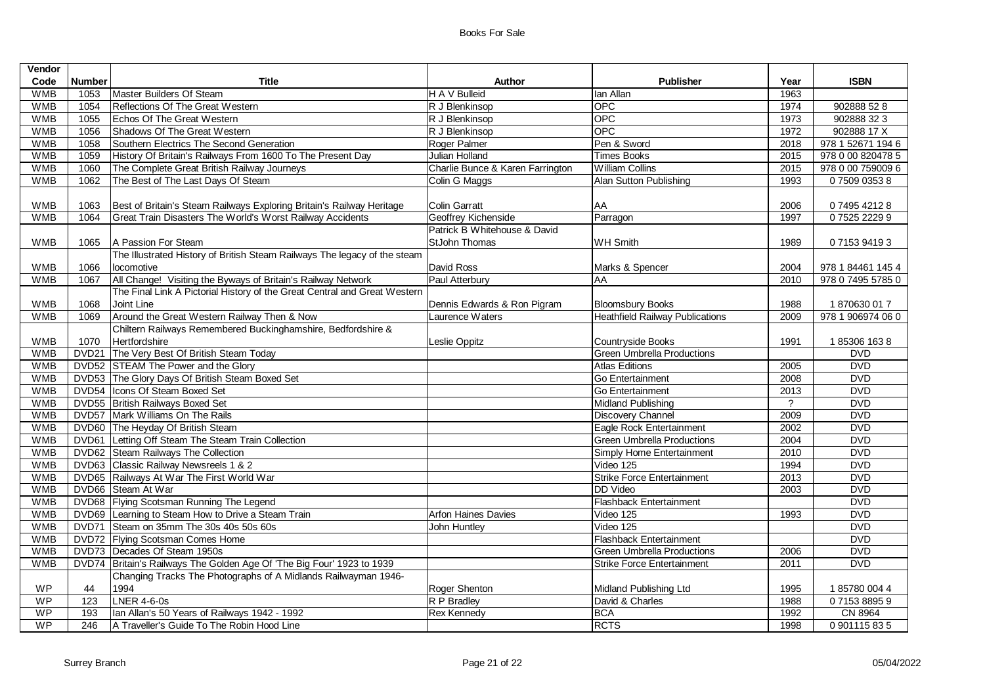| Vendor     |                   |                                                                           |                                  |                                        |                |                   |
|------------|-------------------|---------------------------------------------------------------------------|----------------------------------|----------------------------------------|----------------|-------------------|
| Code       | <b>Number</b>     | Title                                                                     | Author                           | <b>Publisher</b>                       | Year           | <b>ISBN</b>       |
| <b>WMB</b> | 1053              | Master Builders Of Steam                                                  | H A V Bulleid                    | lan Allan                              | 1963           |                   |
| <b>WMB</b> | 1054              | Reflections Of The Great Western                                          | R J Blenkinsop                   | <b>OPC</b>                             | 1974           | 902888 52 8       |
| <b>WMB</b> | 1055              | Echos Of The Great Western                                                | R J Blenkinsop                   | OPC                                    | 1973           | 902888 32 3       |
| <b>WMB</b> | 1056              | Shadows Of The Great Western                                              | R J Blenkinsop                   | <b>OPC</b>                             | 1972           | 902888 17 X       |
| <b>WMB</b> | 1058              | Southern Electrics The Second Generation                                  | Roger Palmer                     | Pen & Sword                            | 2018           | 978 1 52671 194 6 |
| <b>WMB</b> | 1059              | History Of Britain's Railways From 1600 To The Present Day                | <b>Julian Holland</b>            | <b>Times Books</b>                     | 2015           | 978 0 00 820478 5 |
| <b>WMB</b> | 1060              | The Complete Great British Railway Journeys                               | Charlie Bunce & Karen Farrington | <b>William Collins</b>                 | 2015           | 978 0 00 759009 6 |
| <b>WMB</b> | 1062              | The Best of The Last Days Of Steam                                        | Colin G Maggs                    | Alan Sutton Publishing                 | 1993           | 0750903538        |
| <b>WMB</b> | 1063              | Best of Britain's Steam Railways Exploring Britain's Railway Heritage     | <b>Colin Garratt</b>             | AA                                     | 2006           | 0749542128        |
| <b>WMB</b> | 1064              | Great Train Disasters The World's Worst Railway Accidents                 | Geoffrey Kichenside              | Parragon                               | 1997           | 0752522299        |
|            |                   |                                                                           | Patrick B Whitehouse & David     |                                        |                |                   |
| <b>WMB</b> | 1065              | A Passion For Steam                                                       | StJohn Thomas                    | <b>WH Smith</b>                        | 1989           | 0715394193        |
|            |                   | The Illustrated History of British Steam Railways The legacy of the steam |                                  |                                        |                |                   |
| <b>WMB</b> | 1066              | locomotive                                                                | David Ross                       | Marks & Spencer                        | 2004           | 978 1 84461 145 4 |
| <b>WMB</b> | 1067              | All Change! Visiting the Byways of Britain's Railway Network              | Paul Atterbury                   | AA                                     | 2010           | 978 0 7495 5785 0 |
|            |                   | The Final Link A Pictorial History of the Great Central and Great Western |                                  |                                        |                |                   |
| <b>WMB</b> | 1068              | Joint Line                                                                | Dennis Edwards & Ron Pigram      | <b>Bloomsbury Books</b>                | 1988           | 1870630 017       |
| <b>WMB</b> | 1069              | Around the Great Western Railway Then & Now                               | Laurence Waters                  | <b>Heathfield Railway Publications</b> | 2009           | 978 1 906974 06 0 |
|            |                   | Chiltern Railways Remembered Buckinghamshire, Bedfordshire &              |                                  |                                        |                |                   |
| <b>WMB</b> | 1070              | Hertfordshire                                                             | Leslie Oppitz                    | Countryside Books                      | 1991           | 185306 1638       |
| <b>WMB</b> | DVD <sub>21</sub> | The Very Best Of British Steam Today                                      |                                  | <b>Green Umbrella Productions</b>      |                | <b>DVD</b>        |
| <b>WMB</b> |                   | DVD52 STEAM The Power and the Glory                                       |                                  | Atlas Editions                         | 2005           | <b>DVD</b>        |
| <b>WMB</b> |                   | DVD53 The Glory Days Of British Steam Boxed Set                           |                                  | Go Entertainment                       | 2008           | <b>DVD</b>        |
| <b>WMB</b> |                   | DVD54  Icons Of Steam Boxed Set                                           |                                  | Go Entertainment                       | 2013           | <b>DVD</b>        |
| <b>WMB</b> |                   | DVD55 British Railways Boxed Set                                          |                                  | <b>Midland Publishing</b>              | $\overline{?}$ | <b>DVD</b>        |
| <b>WMB</b> |                   | DVD57 Mark Williams On The Rails                                          |                                  | Discovery Channel                      | 2009           | <b>DVD</b>        |
| <b>WMB</b> |                   | DVD60 The Heyday Of British Steam                                         |                                  | Eagle Rock Entertainment               | 2002           | <b>DVD</b>        |
| <b>WMB</b> |                   | DVD61 Letting Off Steam The Steam Train Collection                        |                                  | <b>Green Umbrella Productions</b>      | 2004           | <b>DVD</b>        |
| <b>WMB</b> |                   | DVD62 Steam Railways The Collection                                       |                                  | Simply Home Entertainment              | 2010           | <b>DVD</b>        |
| <b>WMB</b> |                   | DVD63 Classic Railway Newsreels 1 & 2                                     |                                  | Video 125                              | 1994           | <b>DVD</b>        |
| <b>WMB</b> |                   | DVD65 Railways At War The First World War                                 |                                  | <b>Strike Force Entertainment</b>      | 2013           | <b>DVD</b>        |
| <b>WMB</b> |                   | DVD66 Steam At War                                                        |                                  | <b>DD</b> Video                        | 2003           | <b>DVD</b>        |
| <b>WMB</b> |                   | DVD68 Flying Scotsman Running The Legend                                  |                                  | Flashback Entertainment                |                | <b>DVD</b>        |
| <b>WMB</b> |                   | DVD69 Learning to Steam How to Drive a Steam Train                        | <b>Arfon Haines Davies</b>       | Video 125                              | 1993           | <b>DVD</b>        |
| <b>WMB</b> |                   | DVD71 Steam on 35mm The 30s 40s 50s 60s                                   | John Huntley                     | Video 125                              |                | <b>DVD</b>        |
| <b>WMB</b> |                   | DVD72 Flying Scotsman Comes Home                                          |                                  | <b>Flashback Entertainment</b>         |                | <b>DVD</b>        |
| <b>WMB</b> |                   | DVD73 Decades Of Steam 1950s                                              |                                  | <b>Green Umbrella Productions</b>      | 2006           | <b>DVD</b>        |
| <b>WMB</b> |                   | DVD74   Britain's Railways The Golden Age Of 'The Big Four' 1923 to 1939  |                                  | <b>Strike Force Entertainment</b>      | 2011           | <b>DVD</b>        |
|            |                   | Changing Tracks The Photographs of A Midlands Railwayman 1946-<br>1994    |                                  | Midland Publishing Ltd                 |                | 1857800044        |
| WP<br>WP   | 44<br>123         | <b>LNER 4-6-0s</b>                                                        | Roger Shenton<br>R P Bradley     | David & Charles                        | 1995<br>1988   | 0715388959        |
| WP         | 193               | Ian Allan's 50 Years of Railways 1942 - 1992                              |                                  | <b>BCA</b>                             | 1992           | <b>CN 8964</b>    |
| <b>WP</b>  | 246               | A Traveller's Guide To The Robin Hood Line                                | <b>Rex Kennedy</b>               | <b>RCTS</b>                            | 1998           | 0 901115 83 5     |
|            |                   |                                                                           |                                  |                                        |                |                   |